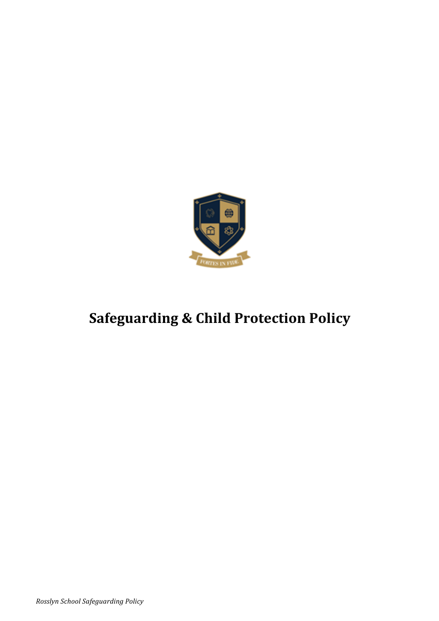

# **Safeguarding & Child Protection Policy**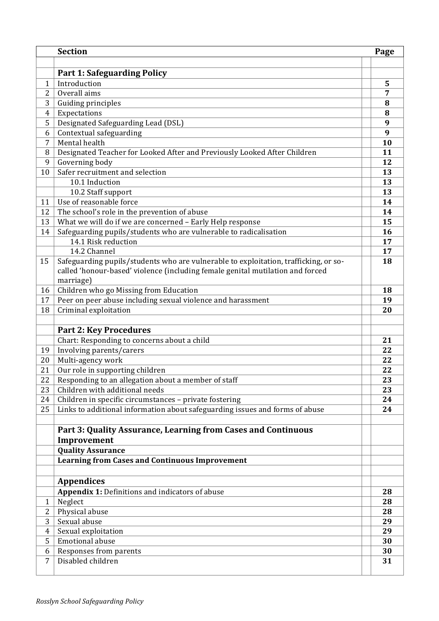|                | <b>Section</b>                                                                       | Page |
|----------------|--------------------------------------------------------------------------------------|------|
|                |                                                                                      |      |
|                | <b>Part 1: Safeguarding Policy</b>                                                   |      |
| $\mathbf{1}$   | Introduction                                                                         | 5    |
| 2              | Overall aims                                                                         | 7    |
| 3              | Guiding principles                                                                   | 8    |
| $\overline{4}$ | Expectations                                                                         | 8    |
| 5              | Designated Safeguarding Lead (DSL)                                                   | 9    |
| 6              | Contextual safeguarding                                                              | 9    |
| 7              | Mental health                                                                        | 10   |
| 8              | Designated Teacher for Looked After and Previously Looked After Children             | 11   |
| 9              | Governing body                                                                       | 12   |
| 10             | Safer recruitment and selection                                                      | 13   |
|                | 10.1 Induction                                                                       | 13   |
|                | 10.2 Staff support                                                                   | 13   |
| 11             | Use of reasonable force                                                              | 14   |
| 12             | The school's role in the prevention of abuse                                         | 14   |
| 13             | What we will do if we are concerned - Early Help response                            | 15   |
| 14             | Safeguarding pupils/students who are vulnerable to radicalisation                    | 16   |
|                | 14.1 Risk reduction                                                                  | 17   |
|                | 14.2 Channel                                                                         | 17   |
| 15             | Safeguarding pupils/students who are vulnerable to exploitation, trafficking, or so- | 18   |
|                | called 'honour-based' violence (including female genital mutilation and forced       |      |
|                | marriage)                                                                            |      |
| 16             | Children who go Missing from Education                                               | 18   |
| 17             | Peer on peer abuse including sexual violence and harassment                          | 19   |
| 18             | Criminal exploitation                                                                | 20   |
|                |                                                                                      |      |
|                | <b>Part 2: Key Procedures</b>                                                        |      |
|                | Chart: Responding to concerns about a child                                          | 21   |
| 19             | Involving parents/carers                                                             | 22   |
| 20             | Multi-agency work                                                                    | 22   |
| 21             | Our role in supporting children                                                      | 22   |
| 22             | Responding to an allegation about a member of staff                                  | 23   |
| 23             | Children with additional needs                                                       | 23   |
| 24             | Children in specific circumstances - private fostering                               | 24   |
| 25             | Links to additional information about safeguarding issues and forms of abuse         | 24   |
|                |                                                                                      |      |
|                | Part 3: Quality Assurance, Learning from Cases and Continuous                        |      |
|                | Improvement                                                                          |      |
|                | <b>Quality Assurance</b>                                                             |      |
|                | <b>Learning from Cases and Continuous Improvement</b>                                |      |
|                |                                                                                      |      |
|                | <b>Appendices</b>                                                                    |      |
|                | Appendix 1: Definitions and indicators of abuse                                      | 28   |
| $\mathbf{1}$   | Neglect                                                                              | 28   |
| $\overline{2}$ | Physical abuse                                                                       | 28   |
| 3              | Sexual abuse                                                                         | 29   |
| $\overline{4}$ | Sexual exploitation                                                                  | 29   |
| 5              | <b>Emotional abuse</b>                                                               | 30   |
| 6              | Responses from parents                                                               | 30   |
| 7              | Disabled children                                                                    | 31   |
|                |                                                                                      |      |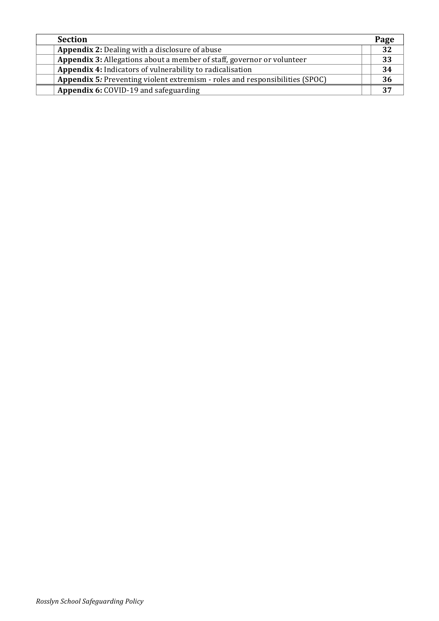| <b>Section</b>                                                               | Page |
|------------------------------------------------------------------------------|------|
| <b>Appendix 2: Dealing with a disclosure of abuse</b>                        | 32   |
| Appendix 3: Allegations about a member of staff, governor or volunteer       | 33   |
| <b>Appendix 4:</b> Indicators of vulnerability to radicalisation             | 34   |
| Appendix 5: Preventing violent extremism - roles and responsibilities (SPOC) | 36   |
| Appendix 6: COVID-19 and safeguarding                                        |      |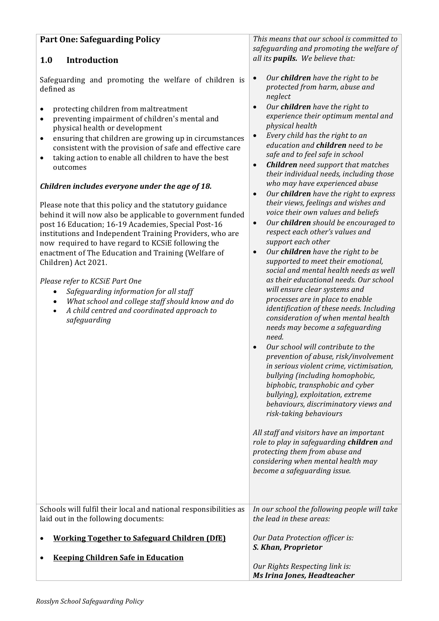## **Part One: Safeguarding Policy**

### **1.0 Introduction**

Safeguarding and promoting the welfare of children is defined as

- protecting children from maltreatment
- preventing impairment of children's mental and physical health or development
- ensuring that children are growing up in circumstances consistent with the provision of safe and effective care
- taking action to enable all children to have the best outcomes

#### *Children includes everyone under the age of 18.*

Please note that this policy and the statutory guidance behind it will now also be applicable to government funded post 16 Education; 16-19 Academies, Special Post-16 institutions and Independent Training Providers, who are now required to have regard to KCSiE following the enactment of The Education and Training (Welfare of Children) Act 2021.

#### *Please refer to KCSiE Part One*

- *Safeguarding information for all staff*
- *What school and college staff should know and do*
- A child centred and coordinated approach to *safeguarding*

This means that our school is committed to *safeguarding and promoting the welfare of all* its *pupils.* We believe that:

- *Our children have the right to be protected from harm, abuse and neglect*
- Our **children** have the right to *experience their optimum mental and physical health*
- *Every child has the right to an education and children need to be safe and to feel safe in school*
- *Children need support that matches their individual needs, including those who may have experienced abuse*
- Our **children** have the right to express *their views, feelings and wishes and voice their own values and beliefs*
- *Our children should be encouraged to* respect each other's values and *support each other*
- Our **children** have the right to be supported to meet their emotional, social and mental health needs as well *as their educational needs. Our school will ensure clear systems and processes are in place to enable identification of these needs. Including consideration of when mental health needs may become a safeguarding need.* • *Our school will contribute to the prevention of abuse, risk/involvement in serious violent crime, victimisation, bullying (including homophobic, biphobic, transphobic and cyber bullying*), *exploitation*, *extreme behaviours, discriminatory views and risk-taking behaviours* All staff and visitors have an important *role to play in safeguarding children and protecting them from abuse and considering* when mental health may *become a safeguarding issue.* Schools will fulfil their local and national responsibilities as laid out in the following documents: • **Working Together to Safeguard Children (DfE)** In our school the following people will take *the lead in these areas: Our Data Protection officer is: S. Khan, Proprietor*
- **Keeping Children Safe in Education**
- *Our Rights Respecting link is: Ms Irina Jones, Headteacher*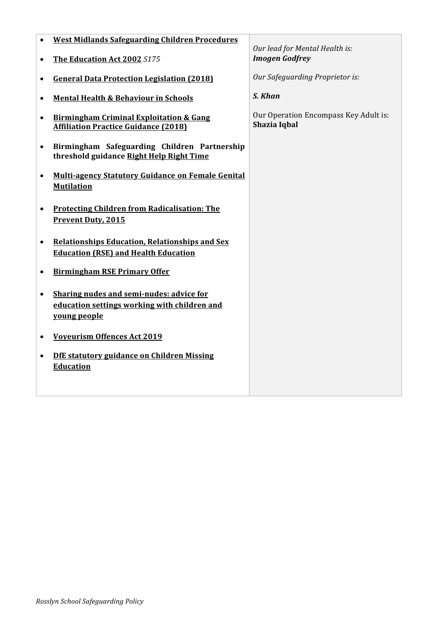| $\bullet$ | <b>West Midlands Safeguarding Children Procedures</b>                                                    | Our lead for Mental Health is:                        |
|-----------|----------------------------------------------------------------------------------------------------------|-------------------------------------------------------|
| $\bullet$ | The Education Act 2002 S175                                                                              | <b>Imogen Godfrey</b>                                 |
|           | <b>General Data Protection Legislation (2018)</b>                                                        | Our Safeguarding Proprietor is:                       |
|           | <b>Mental Health &amp; Behaviour in Schools</b>                                                          | S. Khan                                               |
| $\bullet$ | <b>Birmingham Criminal Exploitation &amp; Gang</b><br><b>Affiliation Practice Guidance (2018)</b>        | Our Operation Encompass Key Adult is:<br>Shazia Iqbal |
| $\bullet$ | Birmingham Safeguarding Children Partnership<br>threshold guidance Right Help Right Time                 |                                                       |
| $\bullet$ | Multi-agency Statutory Guidance on Female Genital<br><b>Mutilation</b>                                   |                                                       |
| $\bullet$ | <b>Protecting Children from Radicalisation: The</b><br><b>Prevent Duty, 2015</b>                         |                                                       |
| $\bullet$ | <b>Relationships Education, Relationships and Sex</b><br><b>Education (RSE) and Health Education</b>     |                                                       |
|           | <b>Birmingham RSE Primary Offer</b>                                                                      |                                                       |
| $\bullet$ | Sharing nudes and semi-nudes: advice for<br>education settings working with children and<br>young people |                                                       |
|           | <b>Voyeurism Offences Act 2019</b>                                                                       |                                                       |
| $\bullet$ | DfE statutory guidance on Children Missing<br><b>Education</b>                                           |                                                       |
|           |                                                                                                          |                                                       |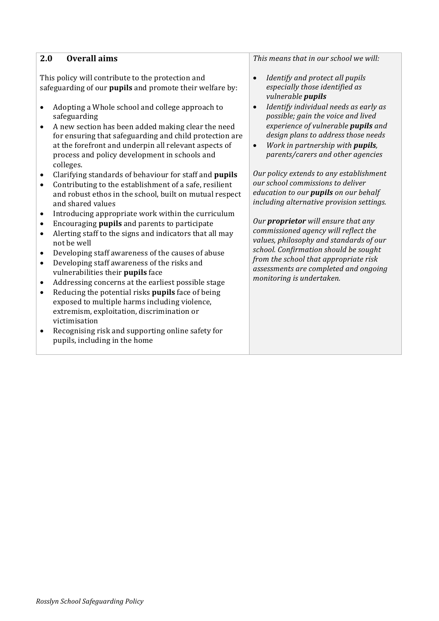| <b>Overall aims</b><br>2.0                                                                                                                                                                                                                                                                                                        | This means that in our school we will:                                                                                                                                                                                                                       |
|-----------------------------------------------------------------------------------------------------------------------------------------------------------------------------------------------------------------------------------------------------------------------------------------------------------------------------------|--------------------------------------------------------------------------------------------------------------------------------------------------------------------------------------------------------------------------------------------------------------|
| This policy will contribute to the protection and<br>safeguarding of our pupils and promote their welfare by:                                                                                                                                                                                                                     | Identify and protect all pupils<br>especially those identified as<br>vulnerable <i>pupils</i>                                                                                                                                                                |
| Adopting a Whole school and college approach to<br>$\bullet$<br>safeguarding<br>A new section has been added making clear the need<br>$\bullet$<br>for ensuring that safeguarding and child protection are<br>at the forefront and underpin all relevant aspects of<br>process and policy development in schools and<br>colleges. | Identify individual needs as early as<br>$\bullet$<br>possible; gain the voice and lived<br>experience of vulnerable pupils and<br>design plans to address those needs<br>Work in partnership with pupils,<br>$\bullet$<br>parents/carers and other agencies |
| Clarifying standards of behaviour for staff and pupils<br>$\bullet$<br>Contributing to the establishment of a safe, resilient<br>$\bullet$<br>and robust ethos in the school, built on mutual respect<br>and shared values                                                                                                        | Our policy extends to any establishment<br>our school commissions to deliver<br>education to our <i>pupils</i> on our behalf<br>including alternative provision settings.                                                                                    |
| Introducing appropriate work within the curriculum<br>$\bullet$<br>Encouraging pupils and parents to participate<br>$\bullet$<br>Alerting staff to the signs and indicators that all may<br>$\bullet$<br>not be well<br>Developing staff awareness of the causes of abuse<br>$\bullet$                                            | Our <b>proprietor</b> will ensure that any<br>commissioned agency will reflect the<br>values, philosophy and standards of our<br>school. Confirmation should be sought                                                                                       |
| Developing staff awareness of the risks and<br>$\bullet$<br>vulnerabilities their pupils face                                                                                                                                                                                                                                     | from the school that appropriate risk<br>assessments are completed and ongoing<br>monitoring is undertaken.                                                                                                                                                  |
| Addressing concerns at the earliest possible stage<br>$\bullet$<br>Reducing the potential risks pupils face of being<br>$\bullet$<br>exposed to multiple harms including violence,<br>extremism, exploitation, discrimination or<br>victimisation                                                                                 |                                                                                                                                                                                                                                                              |
| Recognising risk and supporting online safety for<br>$\bullet$<br>pupils, including in the home                                                                                                                                                                                                                                   |                                                                                                                                                                                                                                                              |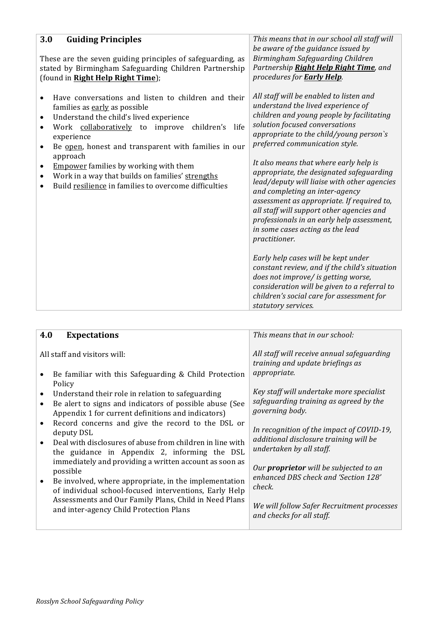| 3.0<br><b>Guiding Principles</b><br>These are the seven guiding principles of safeguarding, as<br>stated by Birmingham Safeguarding Children Partnership<br>(found in Right Help Right Time);                                                                                                                                                                                                                                                                                                              | This means that in our school all staff will<br>be aware of the guidance issued by<br>Birmingham Safeguarding Children<br>Partnership Right Help Right Time, and<br>procedures for <b>Early Help</b> .                                                                                                                                                                                                                                                                                                                                                                                                                                                                                                                                        |
|------------------------------------------------------------------------------------------------------------------------------------------------------------------------------------------------------------------------------------------------------------------------------------------------------------------------------------------------------------------------------------------------------------------------------------------------------------------------------------------------------------|-----------------------------------------------------------------------------------------------------------------------------------------------------------------------------------------------------------------------------------------------------------------------------------------------------------------------------------------------------------------------------------------------------------------------------------------------------------------------------------------------------------------------------------------------------------------------------------------------------------------------------------------------------------------------------------------------------------------------------------------------|
| Have conversations and listen to children and their<br>families as early as possible<br>Understand the child's lived experience<br>٠<br>Work collaboratively to improve children's<br>life<br>$\bullet$<br>experience<br>Be open, honest and transparent with families in our<br>$\bullet$<br>approach<br><b>Empower</b> families by working with them<br>$\bullet$<br>Work in a way that builds on families' strengths<br>$\bullet$<br>Build resilience in families to overcome difficulties<br>$\bullet$ | All staff will be enabled to listen and<br>understand the lived experience of<br>children and young people by facilitating<br>solution focused conversations<br>appropriate to the child/young person's<br>preferred communication style.<br>It also means that where early help is<br>appropriate, the designated safeguarding<br>lead/deputy will liaise with other agencies<br>and completing an inter-agency<br>assessment as appropriate. If required to,<br>all staff will support other agencies and<br>professionals in an early help assessment,<br>in some cases acting as the lead<br>practitioner.<br>Early help cases will be kept under<br>constant review, and if the child's situation<br>does not improve/ is getting worse, |
|                                                                                                                                                                                                                                                                                                                                                                                                                                                                                                            | consideration will be given to a referral to<br>children's social care for assessment for<br>statutory services.                                                                                                                                                                                                                                                                                                                                                                                                                                                                                                                                                                                                                              |

|                              |                                                                                                                                                                                       | This means that in our school:                                                                        |
|------------------------------|---------------------------------------------------------------------------------------------------------------------------------------------------------------------------------------|-------------------------------------------------------------------------------------------------------|
| 4.0                          | <b>Expectations</b>                                                                                                                                                                   |                                                                                                       |
| All staff and visitors will: |                                                                                                                                                                                       | All staff will receive annual safeguarding<br>training and update briefings as                        |
|                              | Be familiar with this Safeguarding & Child Protection                                                                                                                                 | appropriate.                                                                                          |
|                              | Policy<br>Understand their role in relation to safeguarding<br>Be alert to signs and indicators of possible abuse (See<br>Appendix 1 for current definitions and indicators)          | Key staff will undertake more specialist<br>safeguarding training as agreed by the<br>governing body. |
| $\bullet$                    | Record concerns and give the record to the DSL or<br>deputy DSL                                                                                                                       | In recognition of the impact of COVID-19,<br>additional disclosure training will be                   |
|                              | Deal with disclosures of abuse from children in line with<br>the guidance in Appendix 2, informing the DSL                                                                            | undertaken by all staff.                                                                              |
|                              | immediately and providing a written account as soon as<br>possible<br>Be involved, where appropriate, in the implementation<br>of individual school-focused interventions, Early Help | Our <b>proprietor</b> will be subjected to an<br>enhanced DBS check and 'Section 128'<br>check.       |
|                              | Assessments and Our Family Plans, Child in Need Plans<br>and inter-agency Child Protection Plans                                                                                      | We will follow Safer Recruitment processes<br>and checks for all staff.                               |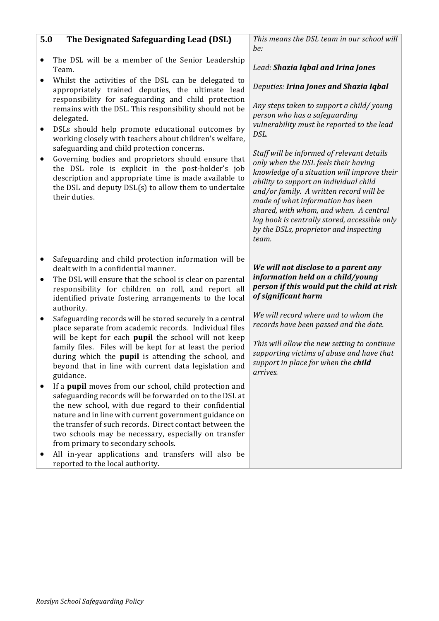| The DSL will be a member of the Senior Leadership<br>$\bullet$<br>Team.                                                                                                                                                                                                                                  | Lead: Shazia Iqbal and Irina Jones                                                                                                                                                                                                                                                                                                                                                                        |
|----------------------------------------------------------------------------------------------------------------------------------------------------------------------------------------------------------------------------------------------------------------------------------------------------------|-----------------------------------------------------------------------------------------------------------------------------------------------------------------------------------------------------------------------------------------------------------------------------------------------------------------------------------------------------------------------------------------------------------|
| Whilst the activities of the DSL can be delegated to<br>$\bullet$<br>appropriately trained deputies, the ultimate lead                                                                                                                                                                                   | Deputies: Irina Jones and Shazia Iqbal                                                                                                                                                                                                                                                                                                                                                                    |
| responsibility for safeguarding and child protection<br>remains with the DSL. This responsibility should not be<br>delegated.<br>DSLs should help promote educational outcomes by<br>$\bullet$<br>working closely with teachers about children's welfare,<br>safeguarding and child protection concerns. | Any steps taken to support a child/young<br>person who has a safeguarding<br>vulnerability must be reported to the lead<br>DSL.                                                                                                                                                                                                                                                                           |
| Governing bodies and proprietors should ensure that<br>٠<br>the DSL role is explicit in the post-holder's job<br>description and appropriate time is made available to<br>the DSL and deputy DSL(s) to allow them to undertake<br>their duties.                                                          | Staff will be informed of relevant details<br>only when the DSL feels their having<br>knowledge of a situation will improve their<br>ability to support an individual child<br>and/or family. A written record will be<br>made of what information has been<br>shared, with whom, and when. A central<br>log book is centrally stored, accessible only<br>by the DSLs, proprietor and inspecting<br>team. |
| Safeguarding and child protection information will be<br>٠<br>dealt with in a confidential manner.<br>The DSL will ensure that the school is clear on parental<br>$\bullet$<br>responsibility for children on roll, and report all                                                                       | We will not disclose to a parent any<br>information held on a child/young                                                                                                                                                                                                                                                                                                                                 |
| identified private fostering arrangements to the local                                                                                                                                                                                                                                                   | person if this would put the child at risk<br>of significant harm                                                                                                                                                                                                                                                                                                                                         |
| authority.<br>Safeguarding records will be stored securely in a central<br>٠                                                                                                                                                                                                                             | We will record where and to whom the<br>records have been passed and the date.                                                                                                                                                                                                                                                                                                                            |
| place separate from academic records. Individual files<br>will be kept for each pupil the school will not keep<br>family files. Files will be kept for at least the period<br>during which the pupil is attending the school, and<br>beyond that in line with current data legislation and<br>guidance.  | This will allow the new setting to continue<br>supporting victims of abuse and have that<br>support in place for when the child<br>arrives.                                                                                                                                                                                                                                                               |

# **5.0** The Designated Safeguarding Lead (DSL)

• All in-year applications and transfers will also be reported to the local authority.

This means the DSL team in our school will *be:*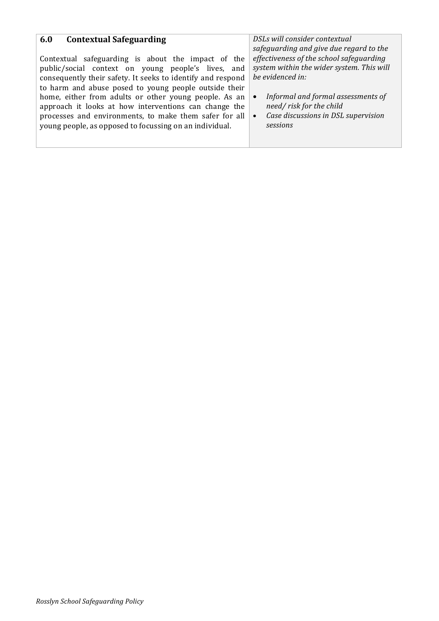| <b>Contextual Safeguarding</b><br>6.0                       | DSLs will consider contextual             |
|-------------------------------------------------------------|-------------------------------------------|
| Contextual safeguarding is about the impact of the          | safeguarding and give due regard to the   |
| public/social context on young people's lives, and          | effectiveness of the school safeguarding  |
| consequently their safety. It seeks to identify and respond | system within the wider system. This will |
| to harm and abuse posed to young people outside their       | be evidenced in:                          |
| home, either from adults or other young people. As an       | Informal and formal assessments of        |
| approach it looks at how interventions can change the       | need/risk for the child                   |
| processes and environments, to make them safer for all      | Case discussions in DSL supervision       |
| young people, as opposed to focussing on an individual.     | sessions                                  |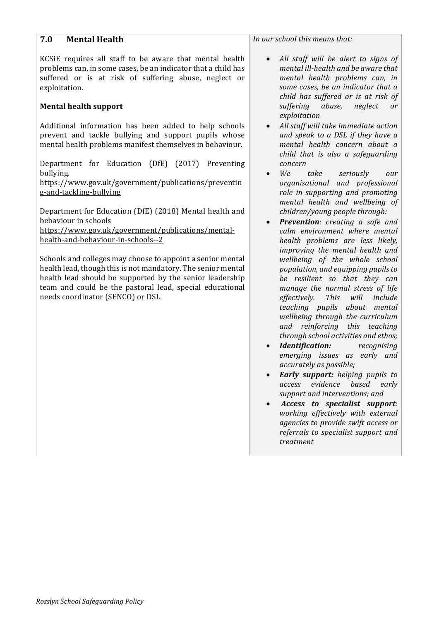| 7.0<br><b>Mental Health</b>                                                                                                                                                                                                        | In our school this means                                                                                                                        |
|------------------------------------------------------------------------------------------------------------------------------------------------------------------------------------------------------------------------------------|-------------------------------------------------------------------------------------------------------------------------------------------------|
| KCSIE requires all staff to be aware that mental health<br>problems can, in some cases, be an indicator that a child has<br>suffered or is at risk of suffering abuse, neglect or<br>exploitation.<br><b>Mental health support</b> | All staff will be<br>$\bullet$<br>mental ill-health<br>mental health<br>some cases, be a<br>child has suffere<br>suffering abus<br>exploitation |
| Additional information has been added to help schools                                                                                                                                                                              | All staff will take<br>$\bullet$                                                                                                                |
| prevent and tackle bullying and support pupils whose<br>mental health problems manifest themselves in behaviour.                                                                                                                   | and speak to a 1<br>mental health<br>child that is als                                                                                          |
| Department for Education (DfE) (2017) Preventing                                                                                                                                                                                   | concern                                                                                                                                         |
| bullying.                                                                                                                                                                                                                          | We<br>take<br>$\bullet$                                                                                                                         |
| https://www.gov.uk/government/publications/preventin                                                                                                                                                                               | organisational                                                                                                                                  |
| g-and-tackling-bullying                                                                                                                                                                                                            | role in supportir                                                                                                                               |
|                                                                                                                                                                                                                                    | mental health a                                                                                                                                 |
| Department for Education (DfE) (2018) Mental health and<br>behaviour in schools                                                                                                                                                    | children/young p<br><b>Prevention:</b> cre<br>$\bullet$                                                                                         |
| https://www.gov.uk/government/publications/mental-                                                                                                                                                                                 | calm environme                                                                                                                                  |
| health-and-behaviour-in-schools--2                                                                                                                                                                                                 | health problems                                                                                                                                 |
|                                                                                                                                                                                                                                    | improving the n                                                                                                                                 |
| Schools and colleges may choose to appoint a senior mental                                                                                                                                                                         | wellbeing of tl                                                                                                                                 |
| health lead, though this is not mandatory. The senior mental                                                                                                                                                                       | population, and e                                                                                                                               |
| health lead should be supported by the senior leadership                                                                                                                                                                           | be resilient so                                                                                                                                 |
| team and could be the pastoral lead, special educational                                                                                                                                                                           | manage the nor                                                                                                                                  |
| needs coordinator (SENCO) or DSL.                                                                                                                                                                                                  | effectively.<br>Thi                                                                                                                             |

#### that:

- alert to signs of and be aware that *mental health problems can, in n* indicator that a *d* or is at risk of *se,* neglect or
- *immediate action a<br>DSL if they have a mental health concern about a co a safeguarding*
- $s$ *eriously our* and *professional ng and promoting mental health and wellbeing of children/young people through:*
- *Prevention: creating a safe and nt* where mental *healtharealess likely, improving the mental health and he* whole school *population, and equipping pupils to that they can*  $r$ *mal stress of life effectively. This will include teaching pupils about mental wellbeing through the curriculum and reinforcing this teaching through school activities and ethos;*
- *Identification: recognising emerging issues as early and accurately as possible;*
- *Early support: helping pupils to access evidence based early*  support and interventions; and
- *Access to specialist support: working effectively with external agencies to provide swift access or*  referrals to specialist support and *treatment*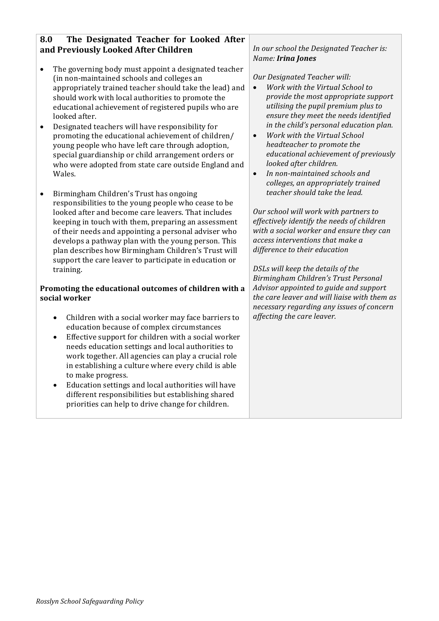## **8.0** The Designated Teacher for Looked After **and Previously Looked After Children**

- The governing body must appoint a designated teacher (in non-maintained schools and colleges an appropriately trained teacher should take the lead) and should work with local authorities to promote the educational achievement of registered pupils who are looked after.
- Designated teachers will have responsibility for promoting the educational achievement of children/ young people who have left care through adoption, special guardianship or child arrangement orders or who were adopted from state care outside England and Wales.
- Birmingham Children's Trust has ongoing responsibilities to the young people who cease to be looked after and become care leavers. That includes keeping in touch with them, preparing an assessment of their needs and appointing a personal adviser who develops a pathway plan with the young person. This plan describes how Birmingham Children's Trust will support the care leaver to participate in education or training.

#### Promoting the educational outcomes of children with a **social worker**

- Children with a social worker may face barriers to education because of complex circumstances
- Effective support for children with a social worker needs education settings and local authorities to work together. All agencies can play a crucial role in establishing a culture where every child is able to make progress.
- Education settings and local authorities will have different responsibilities but establishing shared priorities can help to drive change for children.

### In our school the Designated Teacher is: *Name: Irina Jones*

### *Our Designated Teacher will:*

- *Work with the Virtual School to provide the most appropriate support utilising the pupil premium plus to ensure they meet the needs identified in the child's personal education plan.*
- *Work with the Virtual School headteacher to* promote the *educational achievement of previously looked after children.*
- *In non-maintained schools and* colleges, an appropriately trained *teacher should take the lead.*

**Our** school will work with partners to *effectively identify the needs of children*  with a social worker and ensure they can *access interventions that make a difference to their education*

*DSLs will keep the details of the Birmingham Children's Trust Personal*  Advisor appointed to *guide* and support *the care leaver and will liaise with them as necessary regarding any issues of concern affecting the care leaver.*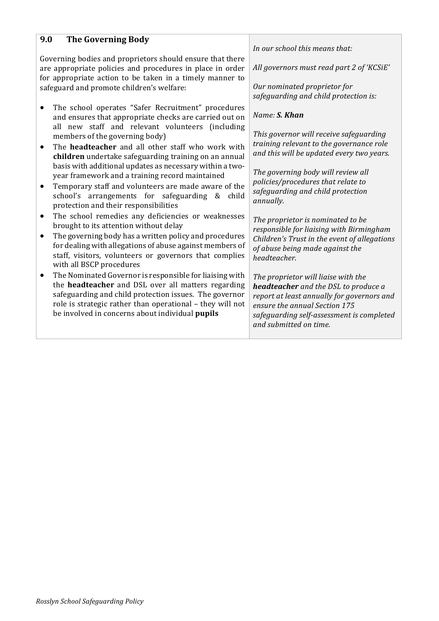## **9.0** The Governing Body

Governing bodies and proprietors should ensure that there are appropriate policies and procedures in place in order for appropriate action to be taken in a timely manner to safeguard and promote children's welfare:

- The school operates "Safer Recruitment" procedures and ensures that appropriate checks are carried out on all new staff and relevant volunteers (including members of the governing body)
- The **headteacher** and all other staff who work with **children** undertake safeguarding training on an annual basis with additional updates as necessary within a twoyear framework and a training record maintained
- Temporary staff and volunteers are made aware of the school's arrangements for safeguarding & child protection and their responsibilities
- The school remedies any deficiencies or weaknesses brought to its attention without delay
- $\bullet$  The governing body has a written policy and procedures for dealing with allegations of abuse against members of staff, visitors, volunteers or governors that complies with all BSCP procedures
- The Nominated Governor is responsible for liaising with the **headteacher** and DSL over all matters regarding safeguarding and child protection issues. The governor role is strategic rather than operational - they will not be involved in concerns about individual *pupils*

In our school this means that:

All governors must read part 2 of 'KCSiE'

*Our nominated proprietor for*  safeguarding and child protection is:

*Name: S. Khan*

*This governor will receive safeguarding training relevant to the governance role and this will be updated every two years.*

The governing body will review all *policies/procedures that relate to* safeguarding and child protection *annually.*

The proprietor is nominated to be responsible for liaising with Birmingham *Children's Trust in the event of allegations of abuse being made against the headteacher.*

*The proprietor* will ligise with the **headteacher** and the DSL to produce a *report at least annually for governors and ensure the annual Section 175* safeguarding self-assessment is completed *and submitted on time.*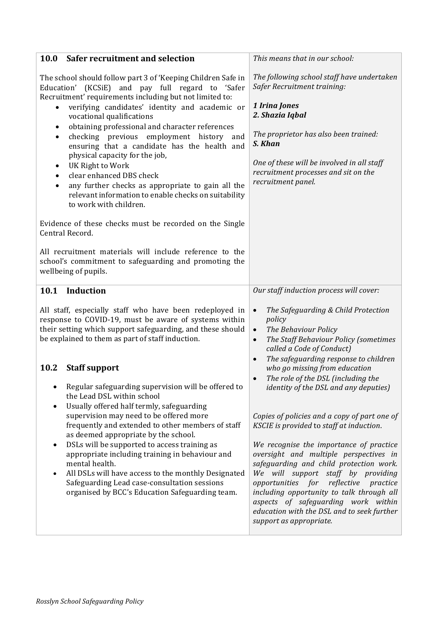| 10.0 Safer recruitment and selection                                                                                                                                                                                                                                                                                                                                                                                                                                                                                                                                                                                                                                                                   | This means that in our school:                                                                                                                                                                                                                                                                                                                                                                                                                                                                                      |
|--------------------------------------------------------------------------------------------------------------------------------------------------------------------------------------------------------------------------------------------------------------------------------------------------------------------------------------------------------------------------------------------------------------------------------------------------------------------------------------------------------------------------------------------------------------------------------------------------------------------------------------------------------------------------------------------------------|---------------------------------------------------------------------------------------------------------------------------------------------------------------------------------------------------------------------------------------------------------------------------------------------------------------------------------------------------------------------------------------------------------------------------------------------------------------------------------------------------------------------|
| The school should follow part 3 of 'Keeping Children Safe in<br>(KCSiE) and pay full regard to 'Safer<br>Education'<br>Recruitment' requirements including but not limited to:<br>verifying candidates' identity and academic or<br>$\bullet$<br>vocational qualifications<br>obtaining professional and character references<br>٠<br>checking previous employment history<br>and<br>$\bullet$<br>ensuring that a candidate has the health and<br>physical capacity for the job,<br>UK Right to Work<br>٠<br>clear enhanced DBS check<br>$\bullet$<br>any further checks as appropriate to gain all the<br>$\bullet$<br>relevant information to enable checks on suitability<br>to work with children. | The following school staff have undertaken<br>Safer Recruitment training:<br>1 Irina Jones<br>2. Shazia Iqbal<br>The proprietor has also been trained:<br>S. Khan<br>One of these will be involved in all staff<br>recruitment processes and sit on the<br>recruitment panel.                                                                                                                                                                                                                                       |
| Evidence of these checks must be recorded on the Single<br>Central Record.<br>All recruitment materials will include reference to the<br>school's commitment to safeguarding and promoting the<br>wellbeing of pupils.                                                                                                                                                                                                                                                                                                                                                                                                                                                                                 |                                                                                                                                                                                                                                                                                                                                                                                                                                                                                                                     |
| Induction<br>10.1                                                                                                                                                                                                                                                                                                                                                                                                                                                                                                                                                                                                                                                                                      | Our staff induction process will cover:                                                                                                                                                                                                                                                                                                                                                                                                                                                                             |
| All staff, especially staff who have been redeployed in<br>response to COVID-19, must be aware of systems within<br>their setting which support safeguarding, and these should<br>be explained to them as part of staff induction.<br>10.2<br><b>Staff support</b>                                                                                                                                                                                                                                                                                                                                                                                                                                     | The Safeguarding & Child Protection<br>$\bullet$<br>policy<br>The Behaviour Policy<br>$\bullet$<br>The Staff Behaviour Policy (sometimes<br>$\bullet$<br>called a Code of Conduct)<br>The safeguarding response to children<br>$\bullet$<br>who go missing from education<br>The role of the DSL (including the                                                                                                                                                                                                     |
| Regular safeguarding supervision will be offered to<br>the Lead DSL within school<br>Usually offered half termly, safeguarding<br>$\bullet$<br>supervision may need to be offered more<br>frequently and extended to other members of staff<br>as deemed appropriate by the school.<br>DSLs will be supported to access training as<br>$\bullet$<br>appropriate including training in behaviour and<br>mental health.<br>All DSLs will have access to the monthly Designated<br>$\bullet$<br>Safeguarding Lead case-consultation sessions<br>organised by BCC's Education Safeguarding team.                                                                                                           | identity of the DSL and any deputies)<br>Copies of policies and a copy of part one of<br>KSCIE is provided to staff at induction.<br>We recognise the importance of practice<br>oversight and multiple perspectives in<br>safeguarding and child protection work.<br>We will support staff by providing<br>opportunities for<br>reflective<br>practice<br>including opportunity to talk through all<br>aspects of safeguarding work within<br>education with the DSL and to seek further<br>support as appropriate. |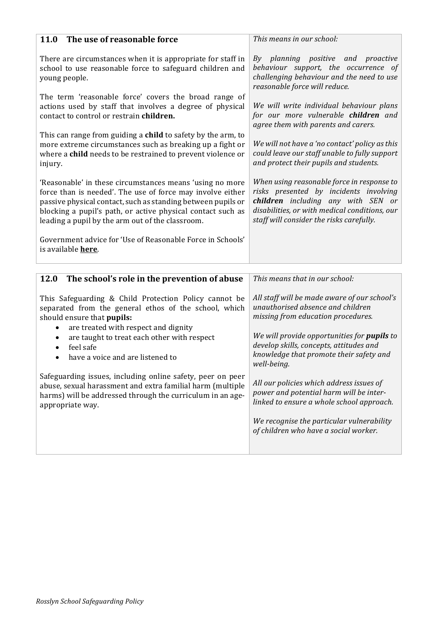| 11.0 The use of reasonable force                                                                                                                                                                                                                                                                          | This means in our school:                                                                                                                                                                                               |  |  |
|-----------------------------------------------------------------------------------------------------------------------------------------------------------------------------------------------------------------------------------------------------------------------------------------------------------|-------------------------------------------------------------------------------------------------------------------------------------------------------------------------------------------------------------------------|--|--|
| There are circumstances when it is appropriate for staff in<br>school to use reasonable force to safeguard children and<br>young people.                                                                                                                                                                  | By planning positive and proactive<br>behaviour support, the occurrence of<br>challenging behaviour and the need to use<br>reasonable force will reduce.                                                                |  |  |
| The term 'reasonable force' covers the broad range of<br>actions used by staff that involves a degree of physical<br>contact to control or restrain children.                                                                                                                                             | We will write individual behaviour plans<br>for our more vulnerable children and<br>agree them with parents and carers.                                                                                                 |  |  |
| This can range from guiding a child to safety by the arm, to<br>more extreme circumstances such as breaking up a fight or<br>where a child needs to be restrained to prevent violence or<br>injury.                                                                                                       | We will not have a 'no contact' policy as this<br>could leave our staff unable to fully support<br>and protect their pupils and students.                                                                               |  |  |
| 'Reasonable' in these circumstances means 'using no more<br>force than is needed'. The use of force may involve either<br>passive physical contact, such as standing between pupils or<br>blocking a pupil's path, or active physical contact such as<br>leading a pupil by the arm out of the classroom. | When using reasonable force in response to<br>risks presented by incidents involving<br>children including any with SEN or<br>disabilities, or with medical conditions, our<br>staff will consider the risks carefully. |  |  |
| Government advice for 'Use of Reasonable Force in Schools'<br>is available <b>here</b> .                                                                                                                                                                                                                  |                                                                                                                                                                                                                         |  |  |
| The school's role in the prevention of abuse<br>12.0                                                                                                                                                                                                                                                      | This means that in our school:                                                                                                                                                                                          |  |  |
| This Safeguarding & Child Protection Policy cannot be<br>separated from the general ethos of the school, which<br>should ensure that pupils:<br>are treated with respect and dignity                                                                                                                      | All staff will be made aware of our school's<br>unauthorised absence and children<br>missing from education procedures.<br>We will provide opportunities for <i>pupils</i> to                                           |  |  |
| are taught to treat each other with respect<br>$\bullet$<br>feel safe<br>$\bullet$<br>have a voice and are listened to<br>$\bullet$                                                                                                                                                                       | develop skills, concepts, attitudes and<br>knowledge that promote their safety and<br>well-being.                                                                                                                       |  |  |
| Safeguarding issues, including online safety, peer on peer<br>abuse, sexual harassment and extra familial harm (multiple<br>harms) will be addressed through the curriculum in an age-<br>appropriate way.                                                                                                | All our policies which address issues of<br>power and potential harm will be inter-<br>linked to ensure a whole school approach.                                                                                        |  |  |
|                                                                                                                                                                                                                                                                                                           | We recognise the particular vulnerability<br>of children who have a social worker.                                                                                                                                      |  |  |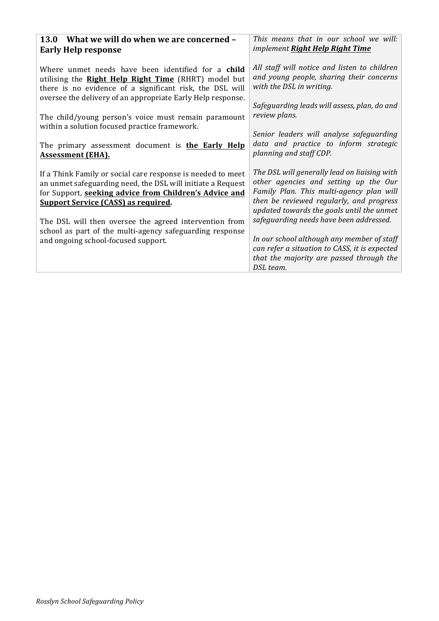| 13.0 What we will do when we are concerned -                                                                                                                                                                                                                                                                                                                                                                      | This means that in our school we will:                                                                                                                                                                                                                                     |
|-------------------------------------------------------------------------------------------------------------------------------------------------------------------------------------------------------------------------------------------------------------------------------------------------------------------------------------------------------------------------------------------------------------------|----------------------------------------------------------------------------------------------------------------------------------------------------------------------------------------------------------------------------------------------------------------------------|
| <b>Early Help response</b>                                                                                                                                                                                                                                                                                                                                                                                        | implement Right Help Right Time                                                                                                                                                                                                                                            |
| Where unmet needs have been identified for a child<br>utilising the <b>Right Help Right Time</b> (RHRT) model but<br>there is no evidence of a significant risk, the DSL will<br>oversee the delivery of an appropriate Early Help response.<br>The child/young person's voice must remain paramount<br>within a solution focused practice framework.<br>The primary assessment document is <b>the Early Help</b> | All staff will notice and listen to children<br>and young people, sharing their concerns<br>with the DSL in writing.<br>Safeguarding leads will assess, plan, do and<br>review plans.<br>Senior leaders will analyse safeguarding<br>data and practice to inform strategic |
| <b>Assessment (EHA).</b>                                                                                                                                                                                                                                                                                                                                                                                          | planning and staff CDP.                                                                                                                                                                                                                                                    |
| If a Think Family or social care response is needed to meet<br>an unmet safeguarding need, the DSL will initiate a Request<br>for Support, seeking advice from Children's Advice and<br><b>Support Service (CASS) as required.</b>                                                                                                                                                                                | The DSL will generally lead on liaising with<br>other agencies and setting up the Our<br>Family Plan. This multi-agency plan will<br>then be reviewed regularly, and progress<br>updated towards the goals until the unmet                                                 |
| The DSL will then oversee the agreed intervention from<br>school as part of the multi-agency safeguarding response                                                                                                                                                                                                                                                                                                | safeguarding needs have been addressed.                                                                                                                                                                                                                                    |
| and ongoing school-focused support.                                                                                                                                                                                                                                                                                                                                                                               | In our school although any member of staff<br>can refer a situation to CASS, it is expected<br>that the majority are passed through the<br>DSL team.                                                                                                                       |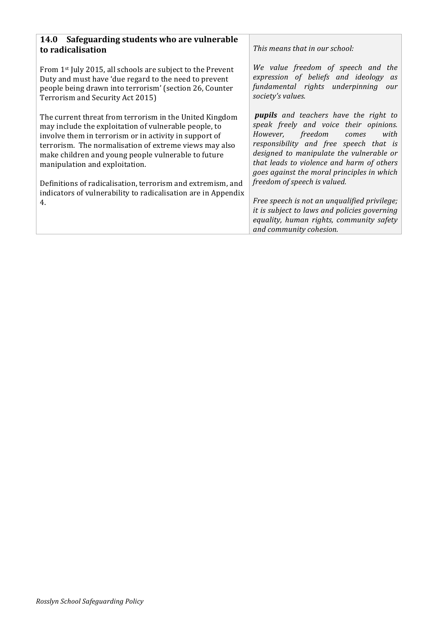| Safeguarding students who are vulnerable<br>14.0<br>to radicalisation                                                                                                                                                                                                                                                                                                                                                                                               | This means that in our school:                                                                                                                                                                                                                                                                                                                                                                                                                                                                                   |
|---------------------------------------------------------------------------------------------------------------------------------------------------------------------------------------------------------------------------------------------------------------------------------------------------------------------------------------------------------------------------------------------------------------------------------------------------------------------|------------------------------------------------------------------------------------------------------------------------------------------------------------------------------------------------------------------------------------------------------------------------------------------------------------------------------------------------------------------------------------------------------------------------------------------------------------------------------------------------------------------|
| From 1 <sup>st</sup> July 2015, all schools are subject to the Prevent<br>Duty and must have 'due regard to the need to prevent<br>people being drawn into terrorism' (section 26, Counter<br>Terrorism and Security Act 2015)                                                                                                                                                                                                                                      | We value freedom of speech and the<br>expression of beliefs and ideology as<br>fundamental rights underpinning<br>our<br>society's values.                                                                                                                                                                                                                                                                                                                                                                       |
| The current threat from terrorism in the United Kingdom<br>may include the exploitation of vulnerable people, to<br>involve them in terrorism or in activity in support of<br>terrorism. The normalisation of extreme views may also<br>make children and young people vulnerable to future<br>manipulation and exploitation.<br>Definitions of radicalisation, terrorism and extremism, and<br>indicators of vulnerability to radicalisation are in Appendix<br>4. | <b>pupils</b> and teachers have the right to<br>speak freely and voice their opinions.<br>with<br>However, freedom comes<br>responsibility and free speech that is<br>designed to manipulate the vulnerable or<br>that leads to violence and harm of others<br>goes against the moral principles in which<br>freedom of speech is valued.<br>Free speech is not an unqualified privilege;<br>it is subject to laws and policies governing<br>equality, human rights, community safety<br>and community cohesion. |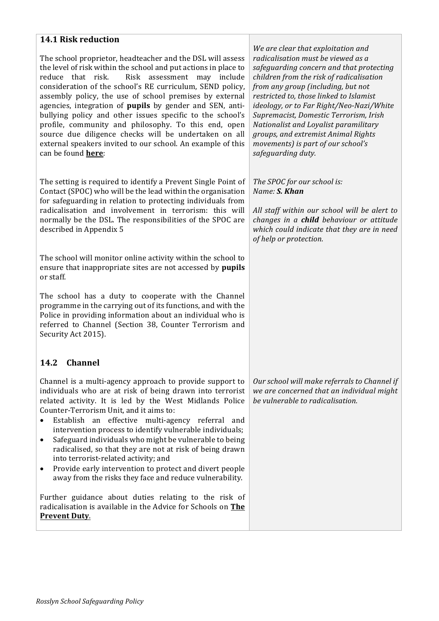## **14.1 Risk reduction**

The school proprietor, headteacher and the DSL will assess the level of risk within the school and put actions in place to reduce that risk. Risk assessment may include consideration of the school's RE curriculum, SEND policy, assembly policy, the use of school premises by external agencies, integration of **pupils** by gender and SEN, antibullying policy and other issues specific to the school's profile, community and philosophy. To this end, open source due diligence checks will be undertaken on all external speakers invited to our school. An example of this can be found **here**: 

The setting is required to identify a Prevent Single Point of Contact (SPOC) who will be the lead within the organisation for safeguarding in relation to protecting individuals from radicalisation and involvement in terrorism: this will normally be the DSL. The responsibilities of the SPOC are described in Appendix 5

The school will monitor online activity within the school to ensure that inappropriate sites are not accessed by *pupils* or staff. 

The school has a duty to cooperate with the Channel programme in the carrying out of its functions, and with the Police in providing information about an individual who is referred to Channel (Section 38, Counter Terrorism and Security Act 2015).

## **14.2 Channel**

Channel is a multi-agency approach to provide support to individuals who are at risk of being drawn into terrorist related activity. It is led by the West Midlands Police Counter-Terrorism Unit, and it aims to:

- Establish an effective multi-agency referral and intervention process to identify vulnerable individuals;
- Safeguard individuals who might be vulnerable to being radicalised, so that they are not at risk of being drawn into terrorist-related activity; and
- Provide early intervention to protect and divert people away from the risks they face and reduce vulnerability.

Further guidance about duties relating to the risk of radicalisation is available in the Advice for Schools on The **Prevent Duty.** 

*We are clear that exploitation and radicalisation must be viewed as a*  safeguarding concern and that protecting *children from the risk of radicalisation from any aroup (including, but not* restricted to, those linked to Islamist *ideology, or to Far Right/Neo-Nazi/White Supremacist, Domestic Terrorism, Irish Nationalist and Loyalist paramilitary groups, and extremist Animal Rights movements)* is part of our school's *safeguarding duty.*

The SPOC for our school is: *Name: S. Khan*

All staff within our school will be alert to *changes in a child behaviour or attitude* which could indicate that they are in need *of help or protection.*

Our school will make referrals to Channel if we are concerned that an individual might *be* vulnerable to radicalisation.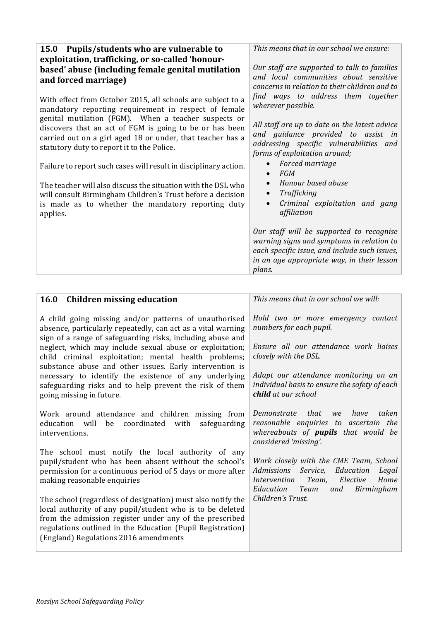| 15.0 Pupils/students who are vulnerable to                       | This means that in our school we ensure:                                                                                                                                                       |
|------------------------------------------------------------------|------------------------------------------------------------------------------------------------------------------------------------------------------------------------------------------------|
| exploitation, trafficking, or so-called 'honour-                 | Our staff are supported to talk to families                                                                                                                                                    |
| based' abuse (including female genital mutilation                | and local communities about sensitive                                                                                                                                                          |
| and forced marriage)                                             | concerns in relation to their children and to                                                                                                                                                  |
| With effect from October 2015, all schools are subject to a      | find ways to address them together                                                                                                                                                             |
| mandatory reporting requirement in respect of female             | wherever possible.                                                                                                                                                                             |
| genital mutilation (FGM). When a teacher suspects or             | All staff are up to date on the latest advice                                                                                                                                                  |
| discovers that an act of FGM is going to be or has been          | and guidance provided to assist in                                                                                                                                                             |
| carried out on a girl aged 18 or under, that teacher has a       | addressing specific vulnerabilities and                                                                                                                                                        |
| statutory duty to report it to the Police.                       | forms of exploitation around;                                                                                                                                                                  |
| Failure to report such cases will result in disciplinary action. | Forced marriage<br>FGM<br>$\bullet$                                                                                                                                                            |
| The teacher will also discuss the situation with the DSL who     | Honour based abuse                                                                                                                                                                             |
| will consult Birmingham Children's Trust before a decision       | Trafficking                                                                                                                                                                                    |
| is made as to whether the mandatory reporting duty               | Criminal exploitation and gang                                                                                                                                                                 |
| applies.                                                         | affiliation                                                                                                                                                                                    |
|                                                                  | Our staff will be supported to recognise<br>warning signs and symptoms in relation to<br>each specific issue, and include such issues,<br>in an age appropriate way, in their lesson<br>plans. |

| 16.0 Children missing education                                                                                                                                                                                                                                                            | This means that in our school we will:                                                                                                                               |
|--------------------------------------------------------------------------------------------------------------------------------------------------------------------------------------------------------------------------------------------------------------------------------------------|----------------------------------------------------------------------------------------------------------------------------------------------------------------------|
| A child going missing and/or patterns of unauthorised<br>absence, particularly repeatedly, can act as a vital warning<br>sign of a range of safeguarding risks, including abuse and                                                                                                        | Hold two or more emergency contact<br>numbers for each pupil.                                                                                                        |
| neglect, which may include sexual abuse or exploitation;<br>child criminal exploitation; mental health problems;<br>substance abuse and other issues. Early intervention is                                                                                                                | Ensure all our attendance work liaises<br>closely with the DSL.                                                                                                      |
| necessary to identify the existence of any underlying<br>safeguarding risks and to help prevent the risk of them<br>going missing in future.                                                                                                                                               | Adapt our attendance monitoring on an<br>individual basis to ensure the safety of each<br><b>child</b> at our school                                                 |
| Work around attendance and children missing from<br>education will be coordinated with<br>safeguarding<br>interventions.                                                                                                                                                                   | taken<br>that<br>Demonstrate<br>have<br>we<br>reasonable enquiries to ascertain the<br>whereabouts of <b>pupils</b> that would be<br>considered 'missing'.           |
| The school must notify the local authority of any<br>pupil/student who has been absent without the school's<br>permission for a continuous period of 5 days or more after<br>making reasonable enquiries                                                                                   | Work closely with the CME Team, School<br>Admissions Service, Education<br>Legal<br>Intervention Team,<br>Home<br>Elective<br>Education<br>Team<br>Birmingham<br>and |
| The school (regardless of designation) must also notify the<br>local authority of any pupil/student who is to be deleted<br>from the admission register under any of the prescribed<br>regulations outlined in the Education (Pupil Registration)<br>(England) Regulations 2016 amendments | Children's Trust.                                                                                                                                                    |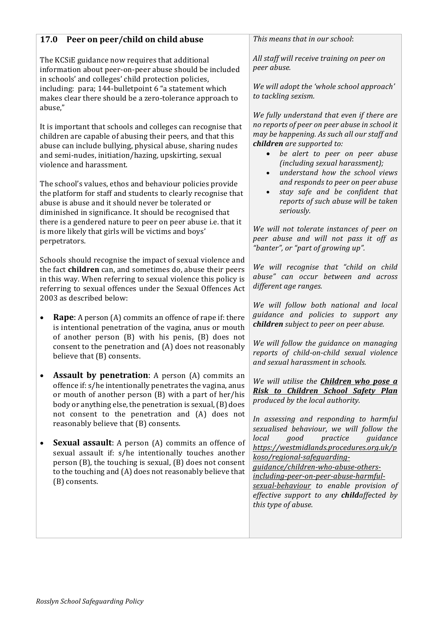## **17.0 Peer on peer/child on child abuse**

The KCSiE guidance now requires that additional information about peer-on-peer abuse should be included in schools' and colleges' child protection policies, including: para; 144-bulletpoint 6 "a statement which makes clear there should be a zero-tolerance approach to abuse,"

It is important that schools and colleges can recognise that children are capable of abusing their peers, and that this abuse can include bullying, physical abuse, sharing nudes and semi-nudes, initiation/hazing, upskirting, sexual violence and harassment.

The school's values, ethos and behaviour policies provide the platform for staff and students to clearly recognise that abuse is abuse and it should never be tolerated or diminished in significance. It should be recognised that there is a gendered nature to peer on peer abuse i.e. that it is more likely that girls will be victims and boys' perpetrators.

Schools should recognise the impact of sexual violence and the fact **children** can, and sometimes do, abuse their peers in this way. When referring to sexual violence this policy is referring to sexual offences under the Sexual Offences Act 2003 as described below:

- **Rape:** A person (A) commits an offence of rape if: there is intentional penetration of the vagina, anus or mouth of another person  $(B)$  with his penis,  $(B)$  does not consent to the penetration and  $(A)$  does not reasonably believe that  $(B)$  consents.
- **Assault by penetration**: A person (A) commits an offence if: s/he intentionally penetrates the vagina, anus or mouth of another person  $(B)$  with a part of her/his body or anything else, the penetration is sexual, (B) does not consent to the penetration and (A) does not reasonably believe that  $(B)$  consents.
- **Sexual assault**: A person (A) commits an offence of sexual assault if: s/he intentionally touches another person  $(B)$ , the touching is sexual,  $(B)$  does not consent to the touching and  $(A)$  does not reasonably believe that (B) consents.

This means that in our school:

*All staff will receive training on peer on peer abuse.*

*We will adopt the 'whole school approach' to tackling sexism.*

*We fully understand that even if there are no* reports of peer on peer abuse in school it *may be happening. As such all our staff and children are supported to:* 

- *be alert to peer on peer abuse (including sexual harassment);*
- *understand how the school views and responds to peer on peer abuse*
- *stay safe and be confident that reports of such abuse will be taken seriously.*

We will not tolerate instances of peer on *peer abuse and will not pass it off as*  "banter", or "part of arowing up".

*We will recognise that "child on child abuse" can occur between and across different age ranges.*

*We will follow both national and local guidance and policies to support any children subject* to peer on peer abuse.

*We will follow the guidance on managing reports of child-on-child sexual violence and sexual harassment in schools.*

*We will utilise the Children who pose a Risk to Children School Safety Plan produced by the local authority.*

In assessing and responding to harmful *sexualised behaviour, we will follow the local good practice guidance https://westmidlands.procedures.org.uk/p koso/regional-safeguardingguidance/children-who-abuse-others-*

*including-peer-on-peer-abuse-harmful-*

*sexual-behaviour to enable provision of effective* support to any **child**affected by this type of abuse.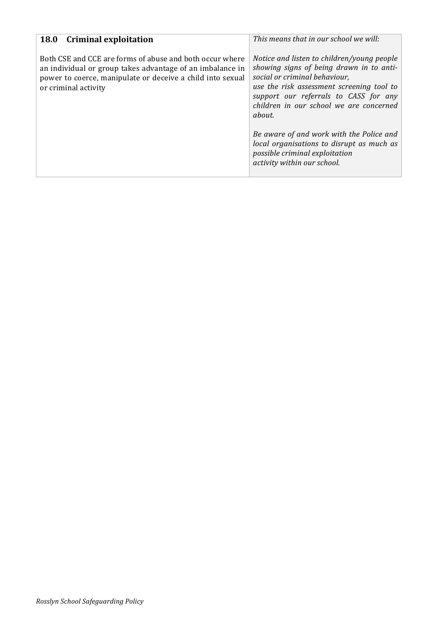| <b>Criminal exploitation</b><br><b>18.0</b>                                                                                                                                                                 | This means that in our school we will:                                                                                                                                                                                                                             |
|-------------------------------------------------------------------------------------------------------------------------------------------------------------------------------------------------------------|--------------------------------------------------------------------------------------------------------------------------------------------------------------------------------------------------------------------------------------------------------------------|
| Both CSE and CCE are forms of abuse and both occur where<br>an individual or group takes advantage of an imbalance in<br>power to coerce, manipulate or deceive a child into sexual<br>or criminal activity | Notice and listen to children/young people<br>showing signs of being drawn in to anti-<br>social or criminal behaviour,<br>use the risk assessment screening tool to<br>support our referrals to CASS for any<br>children in our school we are concerned<br>about. |
|                                                                                                                                                                                                             | Be aware of and work with the Police and<br>local organisations to disrupt as much as<br>possible criminal exploitation<br>activity within our school.                                                                                                             |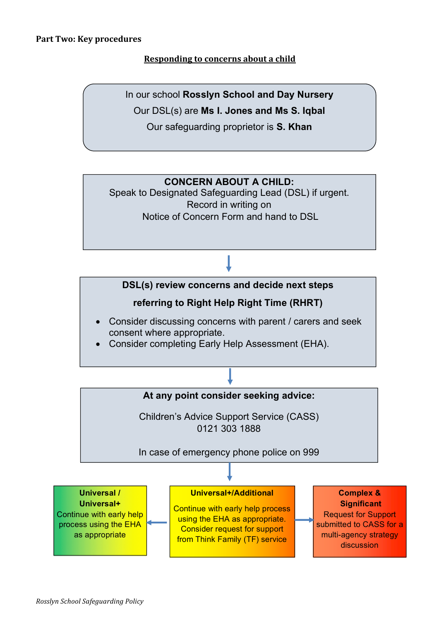#### **Part Two: Key procedures**

## **Responding to concerns about a child**

In our school **Rosslyn School and Day Nursery**

Our DSL(s) are **Ms I. Jones and Ms S. Iqbal**

Our safeguarding proprietor is **S. Khan**

## **CONCERN ABOUT A CHILD:**

Speak to Designated Safeguarding Lead (DSL) if urgent. Record in writing on Notice of Concern Form and hand to DSL

## **DSL(s) review concerns and decide next steps**

## **referring to Right Help Right Time (RHRT)**

- Consider discussing concerns with parent / carers and seek consent where appropriate.
- Consider completing Early Help Assessment (EHA).

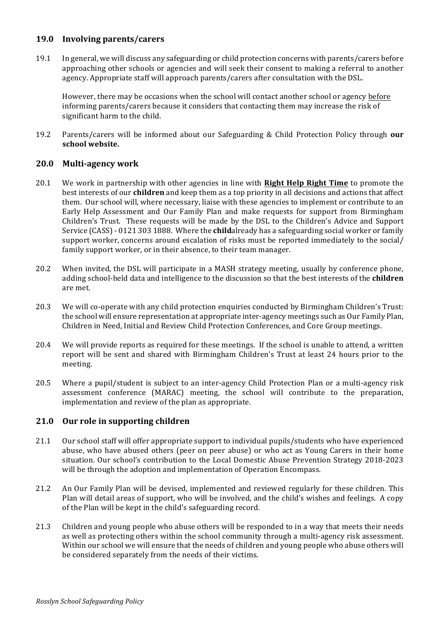#### **19.0 Involving parents/carers**

19.1 In general, we will discuss any safeguarding or child protection concerns with parents/carers before approaching other schools or agencies and will seek their consent to making a referral to another agency. Appropriate staff will approach parents/carers after consultation with the DSL.

However, there may be occasions when the school will contact another school or agency before informing parents/carers because it considers that contacting them may increase the risk of significant harm to the child.

19.2 Parents/carers will be informed about our Safeguarding & Child Protection Policy through **our school website.**

### **20.0 Multi-agency work**

- 20.1 We work in partnership with other agencies in line with **Right Help Right Time** to promote the best interests of our **children** and keep them as a top priority in all decisions and actions that affect them. Our school will, where necessary, liaise with these agencies to implement or contribute to an Early Help Assessment and Our Family Plan and make requests for support from Birmingham Children's Trust. These requests will be made by the DSL to the Children's Advice and Support Service (CASS) - 0121 303 1888. Where the **child**already has a safeguarding social worker or family support worker, concerns around escalation of risks must be reported immediately to the social/ family support worker, or in their absence, to their team manager.
- 20.2 When invited, the DSL will participate in a MASH strategy meeting, usually by conference phone, adding school-held data and intelligence to the discussion so that the best interests of the **children** are met.
- 20.3 We will co-operate with any child protection enquiries conducted by Birmingham Children's Trust: the school will ensure representation at appropriate inter-agency meetings such as Our Family Plan, Children in Need, Initial and Review Child Protection Conferences, and Core Group meetings.
- 20.4 We will provide reports as required for these meetings. If the school is unable to attend, a written report will be sent and shared with Birmingham Children's Trust at least 24 hours prior to the meeting.
- 20.5 Where a pupil/student is subject to an inter-agency Child Protection Plan or a multi-agency risk assessment conference (MARAC) meeting, the school will contribute to the preparation, implementation and review of the plan as appropriate.

## **21.0** Our role in supporting children

- 21.1 Our school staff will offer appropriate support to individual pupils/students who have experienced abuse, who have abused others (peer on peer abuse) or who act as Young Carers in their home situation. Our school's contribution to the Local Domestic Abuse Prevention Strategy 2018-2023 will be through the adoption and implementation of Operation Encompass.
- 21.2 An Our Family Plan will be devised, implemented and reviewed regularly for these children. This Plan will detail areas of support, who will be involved, and the child's wishes and feelings. A copy of the Plan will be kept in the child's safeguarding record.
- 21.3 Children and young people who abuse others will be responded to in a way that meets their needs as well as protecting others within the school community through a multi-agency risk assessment. Within our school we will ensure that the needs of children and young people who abuse others will be considered separately from the needs of their victims.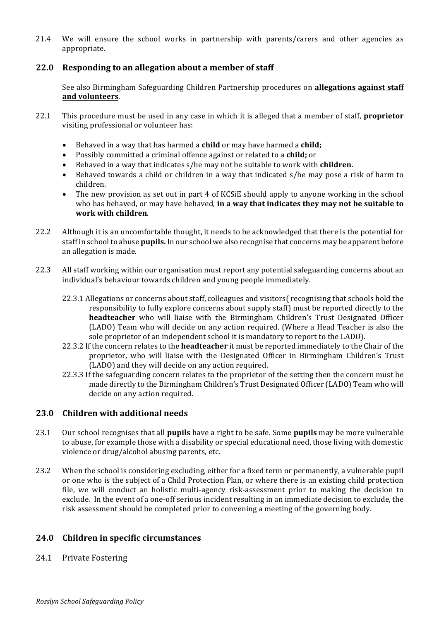21.4 We will ensure the school works in partnership with parents/carers and other agencies as appropriate.

### 22.0 Responding to an allegation about a member of staff

See also Birmingham Safeguarding Children Partnership procedures on **allegations against staff and volunteers**.

- 22.1 This procedure must be used in any case in which it is alleged that a member of staff, **proprietor** visiting professional or volunteer has:
	- Behaved in a way that has harmed a **child** or may have harmed a **child;**
	- Possibly committed a criminal offence against or related to a **child**; or
	- Behaved in a way that indicates s/he may not be suitable to work with **children.**
	- Behaved towards a child or children in a way that indicated  $s/h$ e may pose a risk of harm to children.
	- The new provision as set out in part 4 of KCSiE should apply to anyone working in the school who has behaved, or may have behaved, **in a way that indicates they may not be suitable to work with children**.
- 22.2 Although it is an uncomfortable thought, it needs to be acknowledged that there is the potential for staff in school to abuse **pupils.** In our school we also recognise that concerns may be apparent before an allegation is made.
- 22.3 All staff working within our organisation must report any potential safeguarding concerns about an individual's behaviour towards children and young people immediately.
	- 22.3.1 Allegations or concerns about staff, colleagues and visitors( recognising that schools hold the responsibility to fully explore concerns about supply staff) must be reported directly to the **headteacher** who will liaise with the Birmingham Children's Trust Designated Officer (LADO) Team who will decide on any action required. (Where a Head Teacher is also the sole proprietor of an independent school it is mandatory to report to the LADO).
	- 22.3.2 If the concern relates to the **headteacher** it must be reported immediately to the Chair of the proprietor, who will liaise with the Designated Officer in Birmingham Children's Trust (LADO) and they will decide on any action required.
	- 22.3.3 If the safeguarding concern relates to the proprietor of the setting then the concern must be made directly to the Birmingham Children's Trust Designated Officer (LADO) Team who will decide on any action required.

#### **23.0 Children with additional needs**

- 23.1 Our school recognises that all **pupils** have a right to be safe. Some **pupils** may be more vulnerable to abuse, for example those with a disability or special educational need, those living with domestic violence or drug/alcohol abusing parents, etc.
- 23.2 When the school is considering excluding, either for a fixed term or permanently, a vulnerable pupil or one who is the subject of a Child Protection Plan, or where there is an existing child protection file, we will conduct an holistic multi-agency risk-assessment prior to making the decision to exclude. In the event of a one-off serious incident resulting in an immediate decision to exclude, the risk assessment should be completed prior to convening a meeting of the governing body.

#### **24.0 Children in specific circumstances**

24.1 Private Fostering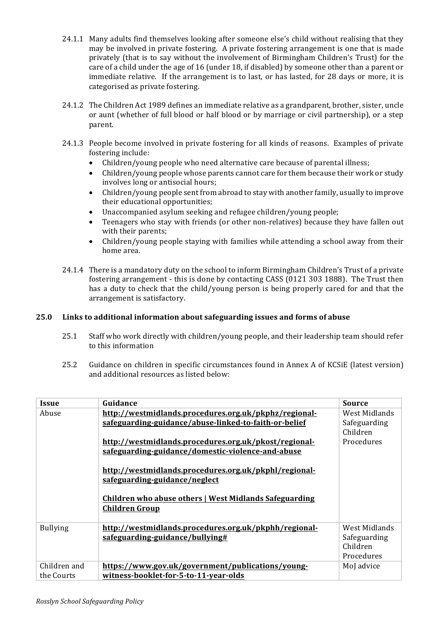- 24.1.1 Many adults find themselves looking after someone else's child without realising that they may be involved in private fostering. A private fostering arrangement is one that is made privately (that is to say without the involvement of Birmingham Children's Trust) for the care of a child under the age of 16 (under 18, if disabled) by someone other than a parent or immediate relative. If the arrangement is to last, or has lasted, for 28 days or more, it is categorised as private fostering.
- 24.1.2 The Children Act 1989 defines an immediate relative as a grandparent, brother, sister, uncle or aunt (whether of full blood or half blood or by marriage or civil partnership), or a step parent.
- 24.1.3 People become involved in private fostering for all kinds of reasons. Examples of private fostering include:
	- Children/young people who need alternative care because of parental illness;
	- Children/young people whose parents cannot care for them because their work or study involves long or antisocial hours;
	- Children/young people sent from abroad to stay with another family, usually to improve their educational opportunities;
	- Unaccompanied asylum seeking and refugee children/young people;
	- Teenagers who stay with friends (or other non-relatives) because they have fallen out with their parents;
	- Children/young people staying with families while attending a school away from their home area.
- 24.1.4 There is a mandatory duty on the school to inform Birmingham Children's Trust of a private fostering arrangement - this is done by contacting CASS (0121 303 1888). The Trust then has a duty to check that the child/young person is being properly cared for and that the arrangement is satisfactory.

#### **25.0** Links to additional information about safeguarding issues and forms of abuse

- 25.1 Staff who work directly with children/young people, and their leadership team should refer to this information
- 25.2 Guidance on children in specific circumstances found in Annex A of KCSiE (latest version) and additional resources as listed below:

| <b>Issue</b>    | Guidance                                               | <b>Source</b> |
|-----------------|--------------------------------------------------------|---------------|
| Abuse           | http://westmidlands.procedures.org.uk/pkphz/regional-  | West Midlands |
|                 |                                                        |               |
|                 | safeguarding-guidance/abuse-linked-to-faith-or-belief  | Safeguarding  |
|                 |                                                        | Children      |
|                 | http://westmidlands.procedures.org.uk/pkost/regional-  | Procedures    |
|                 | safeguarding-guidance/domestic-violence-and-abuse      |               |
|                 |                                                        |               |
|                 | http://westmidlands.procedures.org.uk/pkphl/regional-  |               |
|                 |                                                        |               |
|                 | safeguarding-guidance/neglect                          |               |
|                 |                                                        |               |
|                 | Children who abuse others   West Midlands Safeguarding |               |
|                 | <b>Children Group</b>                                  |               |
|                 |                                                        |               |
| <b>Bullying</b> | http://westmidlands.procedures.org.uk/pkphh/regional-  | West Midlands |
|                 | safeguarding-guidance/bullying#                        | Safeguarding  |
|                 |                                                        | Children      |
|                 |                                                        | Procedures    |
|                 |                                                        |               |
| Children and    | https://www.gov.uk/government/publications/young-      | MoJ advice    |
| the Courts      | witness-booklet-for-5-to-11-year-olds                  |               |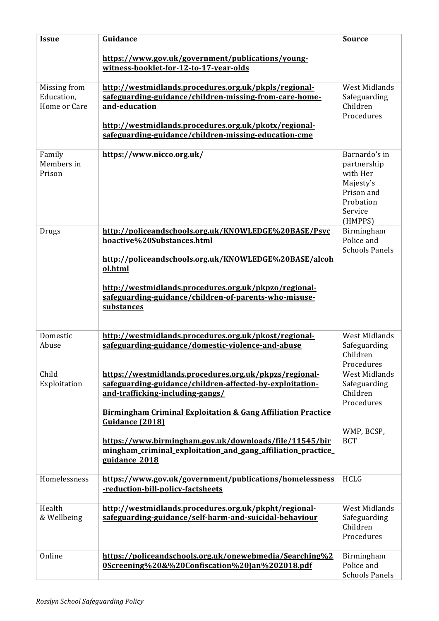| <b>Issue</b>                               | Guidance                                                                                                                                                                                                                                                                                                                                                                                        | <b>Source</b>                                                                                          |
|--------------------------------------------|-------------------------------------------------------------------------------------------------------------------------------------------------------------------------------------------------------------------------------------------------------------------------------------------------------------------------------------------------------------------------------------------------|--------------------------------------------------------------------------------------------------------|
|                                            | https://www.gov.uk/government/publications/young-<br>witness-booklet-for-12-to-17-year-olds                                                                                                                                                                                                                                                                                                     |                                                                                                        |
| Missing from<br>Education,<br>Home or Care | http://westmidlands.procedures.org.uk/pkpls/regional-<br>safeguarding-guidance/children-missing-from-care-home-<br>and-education<br>http://westmidlands.procedures.org.uk/pkotx/regional-<br>safeguarding-guidance/children-missing-education-cme                                                                                                                                               | <b>West Midlands</b><br>Safeguarding<br>Children<br>Procedures                                         |
| Family<br>Members in<br>Prison             | https://www.nicco.org.uk/                                                                                                                                                                                                                                                                                                                                                                       | Barnardo's in<br>partnership<br>with Her<br>Majesty's<br>Prison and<br>Probation<br>Service<br>(HMPPS) |
| Drugs                                      | http://policeandschools.org.uk/KNOWLEDGE%20BASE/Psyc<br>hoactive%20Substances.html<br>http://policeandschools.org.uk/KNOWLEDGE%20BASE/alcoh<br>ol.html<br>http://westmidlands.procedures.org.uk/pkpzo/regional-<br>safeguarding-guidance/children-of-parents-who-misuse-<br>substances                                                                                                          | Birmingham<br>Police and<br><b>Schools Panels</b>                                                      |
| Domestic<br>Abuse                          | http://westmidlands.procedures.org.uk/pkost/regional-<br>safeguarding-guidance/domestic-violence-and-abuse                                                                                                                                                                                                                                                                                      | <b>West Midlands</b><br>Safeguarding<br>Children<br>Procedures                                         |
| Child<br>Exploitation                      | https://westmidlands.procedures.org.uk/pkpzs/regional-<br>safeguarding-guidance/children-affected-by-exploitation-<br>and-trafficking-including-gangs/<br><b>Birmingham Criminal Exploitation &amp; Gang Affiliation Practice</b><br>Guidance (2018)<br>https://www.birmingham.gov.uk/downloads/file/11545/bir<br>mingham_criminal_exploitation_and_gang_affiliation_practice_<br>guidance_2018 | <b>West Midlands</b><br>Safeguarding<br>Children<br>Procedures<br>WMP, BCSP,<br><b>BCT</b>             |
| Homelessness                               | https://www.gov.uk/government/publications/homelessness<br>-reduction-bill-policy-factsheets                                                                                                                                                                                                                                                                                                    | <b>HCLG</b>                                                                                            |
| Health<br>& Wellbeing                      | http://westmidlands.procedures.org.uk/pkpht/regional-<br>safeguarding-guidance/self-harm-and-suicidal-behaviour                                                                                                                                                                                                                                                                                 | <b>West Midlands</b><br>Safeguarding<br>Children<br>Procedures                                         |
| Online                                     | https://policeandschools.org.uk/onewebmedia/Searching%2<br>0Screening%20&%20Confiscation%20Jan%202018.pdf                                                                                                                                                                                                                                                                                       | Birmingham<br>Police and<br><b>Schools Panels</b>                                                      |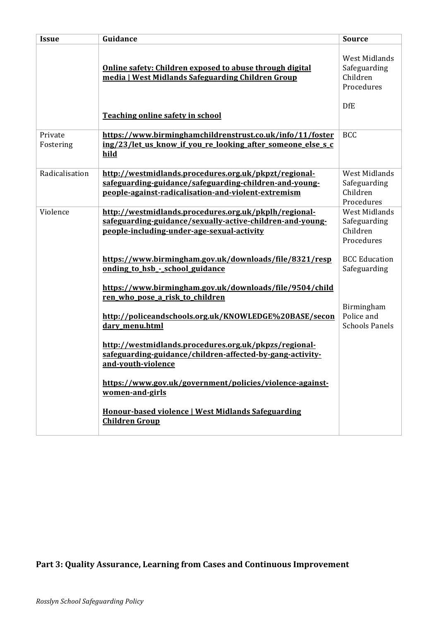| <b>Issue</b>         | Guidance                                                                                                                                                               | <b>Source</b>                                                                |
|----------------------|------------------------------------------------------------------------------------------------------------------------------------------------------------------------|------------------------------------------------------------------------------|
|                      | Online safety: Children exposed to abuse through digital<br>media   West Midlands Safeguarding Children Group<br>Teaching online safety in school                      | <b>West Midlands</b><br>Safeguarding<br>Children<br>Procedures<br><b>DfE</b> |
| Private<br>Fostering | https://www.birminghamchildrenstrust.co.uk/info/11/foster<br>ing/23/let_us_know_if_you_re_looking_after_someone_else_s_c<br>hild                                       | <b>BCC</b>                                                                   |
| Radicalisation       | http://westmidlands.procedures.org.uk/pkpzt/regional-<br>safeguarding-guidance/safeguarding-children-and-young-<br>people-against-radicalisation-and-violent-extremism | <b>West Midlands</b><br>Safeguarding<br>Children<br>Procedures               |
| Violence             | http://westmidlands.procedures.org.uk/pkplh/regional-<br>safeguarding-guidance/sexually-active-children-and-young-<br>people-including-under-age-sexual-activity       | <b>West Midlands</b><br>Safeguarding<br>Children<br>Procedures               |
|                      | https://www.birmingham.gov.uk/downloads/file/8321/resp<br>onding to_hsb_-_school_guidance                                                                              | <b>BCC Education</b><br>Safeguarding                                         |
|                      | https://www.birmingham.gov.uk/downloads/file/9504/child<br>ren_who_pose_a_risk_to_children<br>http://policeandschools.org.uk/KNOWLEDGE%20BASE/secon<br>dary_menu.html  | Birmingham<br>Police and<br><b>Schools Panels</b>                            |
|                      | http://westmidlands.procedures.org.uk/pkpzs/regional-<br>safeguarding-guidance/children-affected-by-gang-activity-<br>and-youth-violence                               |                                                                              |
|                      | https://www.gov.uk/government/policies/violence-against-<br>women-and-girls                                                                                            |                                                                              |
|                      | Honour-based violence   West Midlands Safeguarding<br><b>Children Group</b>                                                                                            |                                                                              |

## Part 3: Quality Assurance, Learning from Cases and Continuous Improvement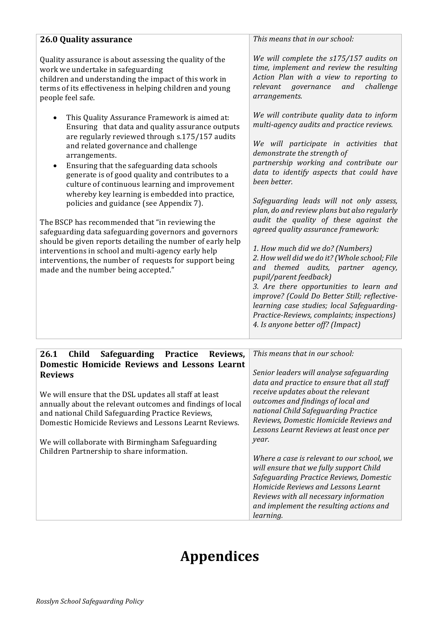| <b>26.0 Quality assurance</b>                                                                                                                                                                                                                                                                                                                                                                                                                                                                                                                                                                                                                                                                                                                                                                         | This means that in our school:                                                                                                                                                                                                                                                                                                                                                                                                                                                                                                                                                                                                                                                                                                                                                                                                      |
|-------------------------------------------------------------------------------------------------------------------------------------------------------------------------------------------------------------------------------------------------------------------------------------------------------------------------------------------------------------------------------------------------------------------------------------------------------------------------------------------------------------------------------------------------------------------------------------------------------------------------------------------------------------------------------------------------------------------------------------------------------------------------------------------------------|-------------------------------------------------------------------------------------------------------------------------------------------------------------------------------------------------------------------------------------------------------------------------------------------------------------------------------------------------------------------------------------------------------------------------------------------------------------------------------------------------------------------------------------------------------------------------------------------------------------------------------------------------------------------------------------------------------------------------------------------------------------------------------------------------------------------------------------|
| Quality assurance is about assessing the quality of the<br>work we undertake in safeguarding<br>children and understanding the impact of this work in<br>terms of its effectiveness in helping children and young<br>people feel safe.                                                                                                                                                                                                                                                                                                                                                                                                                                                                                                                                                                | We will complete the s175/157 audits on<br>time, implement and review the resulting<br>Action Plan with a view to reporting to<br>relevant<br>governance<br>and<br>challenge<br>arrangements.                                                                                                                                                                                                                                                                                                                                                                                                                                                                                                                                                                                                                                       |
| This Quality Assurance Framework is aimed at:<br>Ensuring that data and quality assurance outputs<br>are regularly reviewed through s.175/157 audits<br>and related governance and challenge<br>arrangements.<br>Ensuring that the safeguarding data schools<br>generate is of good quality and contributes to a<br>culture of continuous learning and improvement<br>whereby key learning is embedded into practice,<br>policies and guidance (see Appendix 7).<br>The BSCP has recommended that "in reviewing the<br>safeguarding data safeguarding governors and governors<br>should be given reports detailing the number of early help<br>interventions in school and multi-agency early help<br>interventions, the number of requests for support being<br>made and the number being accepted." | We will contribute quality data to inform<br>multi-agency audits and practice reviews.<br>We will participate in activities that<br>demonstrate the strength of<br>partnership working and contribute our<br>data to identify aspects that could have<br>been better.<br>Safeguarding leads will not only assess,<br>plan, do and review plans but also regularly<br>audit the quality of these against the<br>agreed quality assurance framework:<br>1. How much did we do? (Numbers)<br>2. How well did we do it? (Whole school; File<br>and themed audits, partner agency,<br>pupil/parent feedback)<br>3. Are there opportunities to learn and<br>improve? (Could Do Better Still; reflective-<br>learning case studies; local Safeguarding-<br>Practice-Reviews, complaints; inspections)<br>4. Is anyone better off? (Impact) |

| Child<br><b>Safeguarding</b><br><b>Practice</b><br>26.1<br>Reviews,                                                                                                                                                                                                                                                                                                                                           | This means that in our school:                                                                                                                                                                                                                                                                                                                                                                                                                                                                                                 |
|---------------------------------------------------------------------------------------------------------------------------------------------------------------------------------------------------------------------------------------------------------------------------------------------------------------------------------------------------------------------------------------------------------------|--------------------------------------------------------------------------------------------------------------------------------------------------------------------------------------------------------------------------------------------------------------------------------------------------------------------------------------------------------------------------------------------------------------------------------------------------------------------------------------------------------------------------------|
| <b>Domestic Homicide Reviews and Lessons Learnt</b><br><b>Reviews</b><br>We will ensure that the DSL updates all staff at least<br>annually about the relevant outcomes and findings of local<br>and national Child Safeguarding Practice Reviews,<br>Domestic Homicide Reviews and Lessons Learnt Reviews.<br>We will collaborate with Birmingham Safeguarding<br>Children Partnership to share information. | Senior leaders will analyse safeguarding<br>data and practice to ensure that all staff<br>receive updates about the relevant<br>outcomes and findings of local and<br>national Child Safeguarding Practice<br>Reviews, Domestic Homicide Reviews and<br>Lessons Learnt Reviews at least once per<br>year.<br>Where a case is relevant to our school, we<br>will ensure that we fully support Child<br>Safeguarding Practice Reviews, Domestic<br>Homicide Reviews and Lessons Learnt<br>Reviews with all necessary information |
|                                                                                                                                                                                                                                                                                                                                                                                                               | and implement the resulting actions and<br>learning.                                                                                                                                                                                                                                                                                                                                                                                                                                                                           |

# **Appendices**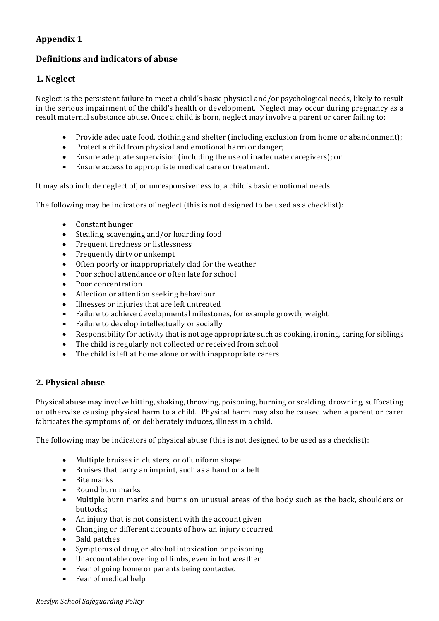## **Definitions and indicators of abuse**

## **1. Neglect**

Neglect is the persistent failure to meet a child's basic physical and/or psychological needs, likely to result in the serious impairment of the child's health or development. Neglect may occur during pregnancy as a result maternal substance abuse. Once a child is born, neglect may involve a parent or carer failing to:

- Provide adequate food, clothing and shelter (including exclusion from home or abandonment);
- Protect a child from physical and emotional harm or danger;
- Ensure adequate supervision (including the use of inadequate caregivers); or
- Ensure access to appropriate medical care or treatment.

It may also include neglect of, or unresponsiveness to, a child's basic emotional needs.

The following may be indicators of neglect (this is not designed to be used as a checklist):

- Constant hunger
- Stealing, scavenging and/or hoarding food
- Frequent tiredness or listlessness
- Frequently dirty or unkempt
- Often poorly or inappropriately clad for the weather
- Poor school attendance or often late for school
- Poor concentration
- Affection or attention seeking behaviour
- Illnesses or injuries that are left untreated
- Failure to achieve developmental milestones, for example growth, weight
- Failure to develop intellectually or socially
- Responsibility for activity that is not age appropriate such as cooking, ironing, caring for siblings
- The child is regularly not collected or received from school
- The child is left at home alone or with inappropriate carers

## **2. Physical abuse**

Physical abuse may involve hitting, shaking, throwing, poisoning, burning or scalding, drowning, suffocating or otherwise causing physical harm to a child. Physical harm may also be caused when a parent or carer fabricates the symptoms of, or deliberately induces, illness in a child.

The following may be indicators of physical abuse (this is not designed to be used as a checklist):

- Multiple bruises in clusters, or of uniform shape
- Bruises that carry an imprint, such as a hand or a belt
- Bite marks
- Round burn marks
- Multiple burn marks and burns on unusual areas of the body such as the back, shoulders or buttocks;
- An injury that is not consistent with the account given
- Changing or different accounts of how an injury occurred
- Bald patches
- Symptoms of drug or alcohol intoxication or poisoning
- Unaccountable covering of limbs, even in hot weather
- Fear of going home or parents being contacted
- Fear of medical help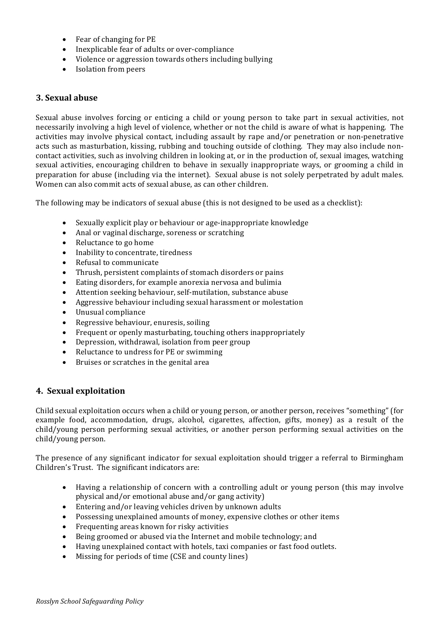- $\bullet$  Fear of changing for PE
- Inexplicable fear of adults or over-compliance
- Violence or aggression towards others including bullying
- Isolation from peers

### **3. Sexual abuse**

Sexual abuse involves forcing or enticing a child or young person to take part in sexual activities, not necessarily involving a high level of violence, whether or not the child is aware of what is happening. The activities may involve physical contact, including assault by rape and/or penetration or non-penetrative acts such as masturbation, kissing, rubbing and touching outside of clothing. They may also include noncontact activities, such as involving children in looking at, or in the production of, sexual images, watching sexual activities, encouraging children to behave in sexually inappropriate ways, or grooming a child in preparation for abuse (including via the internet). Sexual abuse is not solely perpetrated by adult males. Women can also commit acts of sexual abuse, as can other children.

The following may be indicators of sexual abuse (this is not designed to be used as a checklist):

- Sexually explicit play or behaviour or age-inappropriate knowledge
- Anal or vaginal discharge, soreness or scratching
- Reluctance to go home
- Inability to concentrate, tiredness
- Refusal to communicate
- Thrush, persistent complaints of stomach disorders or pains
- Eating disorders, for example anorexia nervosa and bulimia
- Attention seeking behaviour, self-mutilation, substance abuse
- Aggressive behaviour including sexual harassment or molestation
- Unusual compliance
- Regressive behaviour, enuresis, soiling
- Frequent or openly masturbating, touching others inappropriately
- Depression, withdrawal, isolation from peer group
- Reluctance to undress for PE or swimming
- Bruises or scratches in the genital area

#### **4. Sexual exploitation**

Child sexual exploitation occurs when a child or young person, or another person, receives "something" (for example food, accommodation, drugs, alcohol, cigarettes, affection, gifts, money) as a result of the child/young person performing sexual activities, or another person performing sexual activities on the child/young person.

The presence of any significant indicator for sexual exploitation should trigger a referral to Birmingham Children's Trust. The significant indicators are:

- Having a relationship of concern with a controlling adult or young person (this may involve physical and/or emotional abuse and/or gang activity)
- Entering and/or leaving vehicles driven by unknown adults
- Possessing unexplained amounts of money, expensive clothes or other items
- Frequenting areas known for risky activities
- Being groomed or abused via the Internet and mobile technology; and
- Having unexplained contact with hotels, taxi companies or fast food outlets.
- Missing for periods of time (CSE and county lines)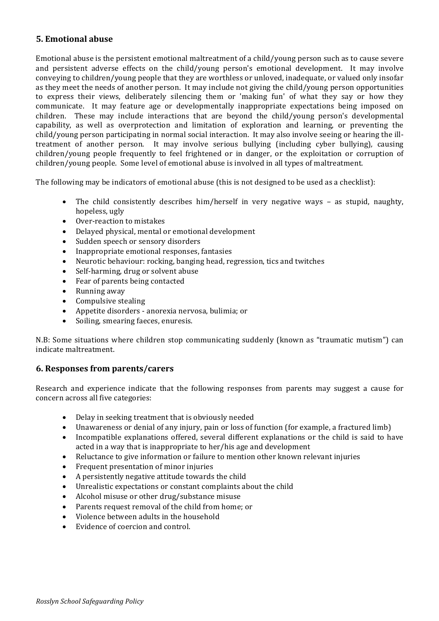## **5. Emotional abuse**

Emotional abuse is the persistent emotional maltreatment of a child/young person such as to cause severe and persistent adverse effects on the child/young person's emotional development. It may involve conveying to children/young people that they are worthless or unloved, inadequate, or valued only insofar as they meet the needs of another person. It may include not giving the child/young person opportunities to express their views, deliberately silencing them or 'making fun' of what they say or how they communicate. It may feature age or developmentally inappropriate expectations being imposed on children. These may include interactions that are beyond the child/young person's developmental capability, as well as overprotection and limitation of exploration and learning, or preventing the  $child/volume$  person participating in normal social interaction. It may also involve seeing or hearing the illtreatment of another person. It may involve serious bullying (including cyber bullying), causing children/young people frequently to feel frightened or in danger, or the exploitation or corruption of children/young people. Some level of emotional abuse is involved in all types of maltreatment.

The following may be indicators of emotional abuse (this is not designed to be used as a checklist):

- The child consistently describes him/herself in very negative ways as stupid, naughty, hopeless, ugly
- Over-reaction to mistakes
- Delayed physical, mental or emotional development
- Sudden speech or sensory disorders
- Inappropriate emotional responses, fantasies
- Neurotic behaviour: rocking, banging head, regression, tics and twitches
- Self-harming, drug or solvent abuse
- Fear of parents being contacted
- $\bullet$  Running away
- Compulsive stealing
- Appetite disorders anorexia nervosa, bulimia; or
- Soiling, smearing faeces, enuresis.

N.B: Some situations where children stop communicating suddenly (known as "traumatic mutism") can indicate maltreatment.

## **6. Responses from parents/carers**

Research and experience indicate that the following responses from parents may suggest a cause for concern across all five categories:

- Delay in seeking treatment that is obviously needed
- Unawareness or denial of any injury, pain or loss of function (for example, a fractured limb)
- Incompatible explanations offered, several different explanations or the child is said to have acted in a way that is inappropriate to her/his age and development
- Reluctance to give information or failure to mention other known relevant injuries
- Frequent presentation of minor injuries
- A persistently negative attitude towards the child
- Unrealistic expectations or constant complaints about the child
- Alcohol misuse or other drug/substance misuse
- Parents request removal of the child from home; or
- Violence between adults in the household
- Evidence of coercion and control.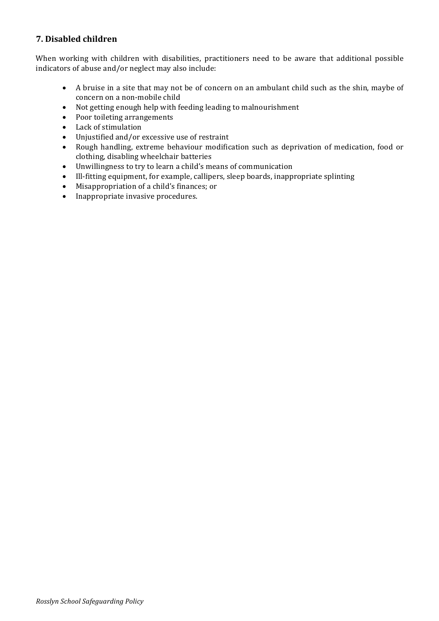## **7. Disabled children**

When working with children with disabilities, practitioners need to be aware that additional possible indicators of abuse and/or neglect may also include:

- A bruise in a site that may not be of concern on an ambulant child such as the shin, maybe of concern on a non-mobile child
- Not getting enough help with feeding leading to malnourishment
- Poor toileting arrangements
- Lack of stimulation
- Unjustified and/or excessive use of restraint
- Rough handling, extreme behaviour modification such as deprivation of medication, food or clothing, disabling wheelchair batteries
- Unwillingness to try to learn a child's means of communication
- Ill-fitting equipment, for example, callipers, sleep boards, inappropriate splinting
- Misappropriation of a child's finances; or
- Inappropriate invasive procedures.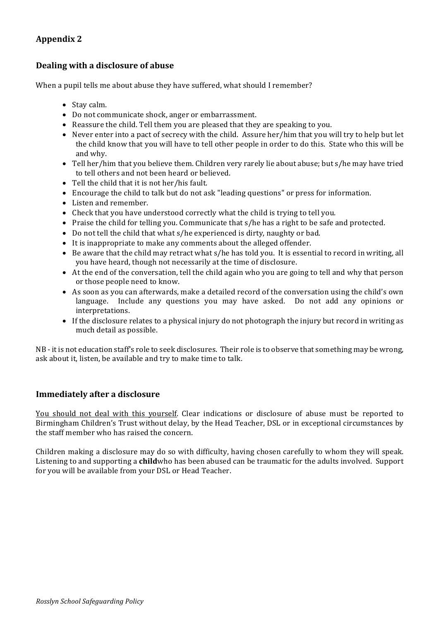## **Dealing with a disclosure of abuse**

When a pupil tells me about abuse they have suffered, what should I remember?

- Stay calm.
- Do not communicate shock, anger or embarrassment.
- Reassure the child. Tell them you are pleased that they are speaking to you.
- Never enter into a pact of secrecy with the child. Assure  $\frac{h}{h}$  then that you will try to help but let the child know that you will have to tell other people in order to do this. State who this will be and why.
- Tell her/him that you believe them. Children very rarely lie about abuse; but s/he may have tried to tell others and not been heard or believed.
- Tell the child that it is not her/his fault.
- Encourage the child to talk but do not ask "leading questions" or press for information.
- Listen and remember.
- Check that you have understood correctly what the child is trying to tell you.
- Praise the child for telling you. Communicate that s/he has a right to be safe and protected.
- Do not tell the child that what s/he experienced is dirty, naughty or bad.
- It is inappropriate to make any comments about the alleged offender.
- Be aware that the child may retract what s/he has told you. It is essential to record in writing, all you have heard, though not necessarily at the time of disclosure.
- At the end of the conversation, tell the child again who you are going to tell and why that person or those people need to know.
- As soon as you can afterwards, make a detailed record of the conversation using the child's own language. Include any questions you may have asked. Do not add any opinions or interpretations.
- If the disclosure relates to a physical injury do not photograph the injury but record in writing as much detail as possible.

 $NB - it$  is not education staff's role to seek disclosures. Their role is to observe that something may be wrong, ask about it, listen, be available and try to make time to talk.

## **Immediately after a disclosure**

You should not deal with this yourself. Clear indications or disclosure of abuse must be reported to Birmingham Children's Trust without delay, by the Head Teacher, DSL or in exceptional circumstances by the staff member who has raised the concern.

Children making a disclosure may do so with difficulty, having chosen carefully to whom they will speak. Listening to and supporting a childwho has been abused can be traumatic for the adults involved. Support for you will be available from your DSL or Head Teacher.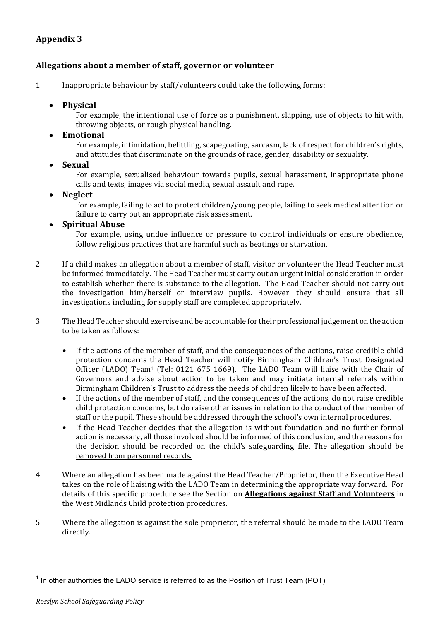## Allegations about a member of staff, governor or volunteer

1. Inappropriate behaviour by staff/volunteers could take the following forms:

### • **Physical**

For example, the intentional use of force as a punishment, slapping, use of objects to hit with, throwing objects, or rough physical handling.

### • **Emotional**

For example, intimidation, belittling, scapegoating, sarcasm, lack of respect for children's rights, and attitudes that discriminate on the grounds of race, gender, disability or sexuality.

### • **Sexual**

For example, sexualised behaviour towards pupils, sexual harassment, inappropriate phone calls and texts, images via social media, sexual assault and rape.

### • **Neglect**

For example, failing to act to protect children/young people, failing to seek medical attention or failure to carry out an appropriate risk assessment.

### • **Spiritual Abuse**

For example, using undue influence or pressure to control individuals or ensure obedience, follow religious practices that are harmful such as beatings or starvation.

- 2. If a child makes an allegation about a member of staff, visitor or volunteer the Head Teacher must be informed immediately. The Head Teacher must carry out an urgent initial consideration in order to establish whether there is substance to the allegation. The Head Teacher should not carry out the investigation him/herself or interview pupils. However, they should ensure that all investigations including for supply staff are completed appropriately.
- 3. The Head Teacher should exercise and be accountable for their professional judgement on the action to be taken as follows:
	- If the actions of the member of staff, and the consequences of the actions, raise credible child protection concerns the Head Teacher will notify Birmingham Children's Trust Designated Officer (LADO) Team<sup>1</sup> (Tel: 0121 675 1669). The LADO Team will liaise with the Chair of Governors and advise about action to be taken and may initiate internal referrals within Birmingham Children's Trust to address the needs of children likely to have been affected.
	- If the actions of the member of staff, and the consequences of the actions, do not raise credible child protection concerns, but do raise other issues in relation to the conduct of the member of staff or the pupil. These should be addressed through the school's own internal procedures.
	- If the Head Teacher decides that the allegation is without foundation and no further formal action is necessary, all those involved should be informed of this conclusion, and the reasons for the decision should be recorded on the child's safeguarding file. The allegation should be removed from personnel records.
- 4. Where an allegation has been made against the Head Teacher/Proprietor, then the Executive Head takes on the role of liaising with the LADO Team in determining the appropriate way forward. For details of this specific procedure see the Section on **Allegations against Staff and Volunteers** in the West Midlands Child protection procedures.
- 5. Where the allegation is against the sole proprietor, the referral should be made to the LADO Team directly.

 $1$  In other authorities the LADO service is referred to as the Position of Trust Team (POT)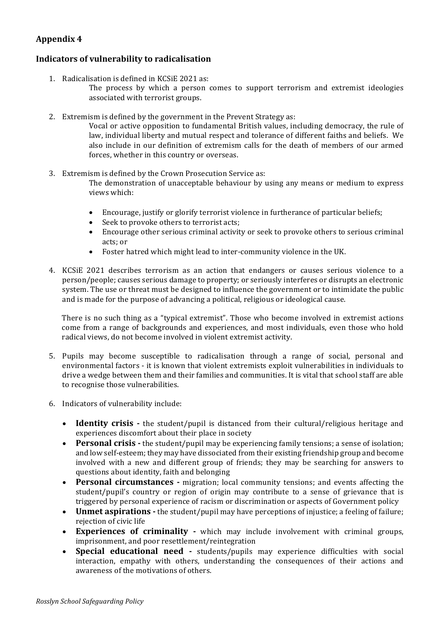## **Indicators of vulnerability to radicalisation**

- 1. Radicalisation is defined in KCSiE 2021 as:
	- The process by which a person comes to support terrorism and extremist ideologies associated with terrorist groups.
- 2. Extremism is defined by the government in the Prevent Strategy as:

Vocal or active opposition to fundamental British values, including democracy, the rule of law, individual liberty and mutual respect and tolerance of different faiths and beliefs. We also include in our definition of extremism calls for the death of members of our armed forces, whether in this country or overseas.

- 3. Extremism is defined by the Crown Prosecution Service as: The demonstration of unacceptable behaviour by using any means or medium to express views which:
	- Encourage, justify or glorify terrorist violence in furtherance of particular beliefs;
	- Seek to provoke others to terrorist acts;
	- Encourage other serious criminal activity or seek to provoke others to serious criminal acts: or
	- Foster hatred which might lead to inter-community violence in the UK.
- 4. KCSiE 2021 describes terrorism as an action that endangers or causes serious violence to a person/people; causes serious damage to property; or seriously interferes or disrupts an electronic system. The use or threat must be designed to influence the government or to intimidate the public and is made for the purpose of advancing a political, religious or ideological cause.

There is no such thing as a "typical extremist". Those who become involved in extremist actions come from a range of backgrounds and experiences, and most individuals, even those who hold radical views, do not become involved in violent extremist activity.

- 5. Pupils may become susceptible to radicalisation through a range of social, personal and environmental factors - it is known that violent extremists exploit vulnerabilities in individuals to drive a wedge between them and their families and communities. It is vital that school staff are able to recognise those vulnerabilities.
- 6. Indicators of vulnerability include:
	- **Identity crisis** the student/pupil is distanced from their cultural/religious heritage and experiences discomfort about their place in society
	- Personal crisis the student/pupil may be experiencing family tensions; a sense of isolation; and low self-esteem; they may have dissociated from their existing friendship group and become involved with a new and different group of friends; they may be searching for answers to questions about identity, faith and belonging
	- **Personal circumstances** migration; local community tensions; and events affecting the student/pupil's country or region of origin may contribute to a sense of grievance that is triggered by personal experience of racism or discrimination or aspects of Government policy
	- Unmet aspirations the student/pupil may have perceptions of injustice; a feeling of failure; rejection of civic life
	- Experiences of criminality which may include involvement with criminal groups, imprisonment, and poor resettlement/reintegration
	- **Special educational need** students/pupils may experience difficulties with social interaction, empathy with others, understanding the consequences of their actions and awareness of the motivations of others.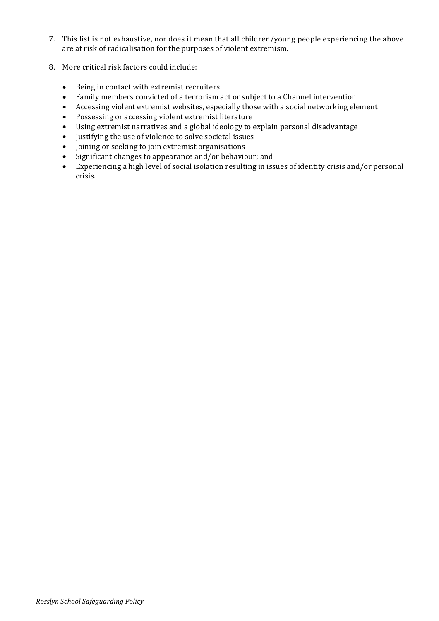- 7. This list is not exhaustive, nor does it mean that all children/young people experiencing the above are at risk of radicalisation for the purposes of violent extremism.
- 8. More critical risk factors could include:
	- Being in contact with extremist recruiters
	- Family members convicted of a terrorism act or subject to a Channel intervention
	- Accessing violent extremist websites, especially those with a social networking element
	- Possessing or accessing violent extremist literature
	- Using extremist narratives and a global ideology to explain personal disadvantage
	- Justifying the use of violence to solve societal issues
	- Joining or seeking to join extremist organisations
	- Significant changes to appearance and/or behaviour; and
	- Experiencing a high level of social isolation resulting in issues of identity crisis and/or personal crisis.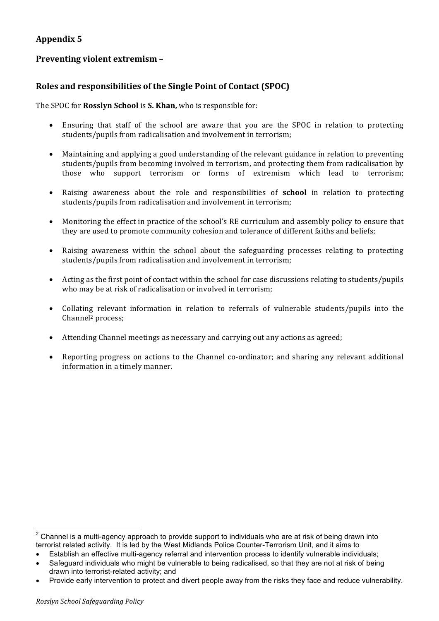## **Preventing violent extremism -**

## **Roles and responsibilities of the Single Point of Contact (SPOC)**

The SPOC for **Rosslyn School** is **S. Khan,** who is responsible for:

- Ensuring that staff of the school are aware that you are the SPOC in relation to protecting students/pupils from radicalisation and involvement in terrorism:
- Maintaining and applying a good understanding of the relevant guidance in relation to preventing students/pupils from becoming involved in terrorism, and protecting them from radicalisation by those who support terrorism or forms of extremism which lead to terrorism;
- Raising awareness about the role and responsibilities of **school** in relation to protecting students/pupils from radicalisation and involvement in terrorism;
- Monitoring the effect in practice of the school's RE curriculum and assembly policy to ensure that they are used to promote community cohesion and tolerance of different faiths and beliefs;
- Raising awareness within the school about the safeguarding processes relating to protecting students/pupils from radicalisation and involvement in terrorism;
- Acting as the first point of contact within the school for case discussions relating to students/pupils who may be at risk of radicalisation or involved in terrorism;
- Collating relevant information in relation to referrals of vulnerable students/pupils into the Channel2 process;
- Attending Channel meetings as necessary and carrying out any actions as agreed;
- Reporting progress on actions to the Channel co-ordinator; and sharing any relevant additional information in a timely manner.

 $2$  Channel is a multi-agency approach to provide support to individuals who are at risk of being drawn into terrorist related activity. It is led by the West Midlands Police Counter-Terrorism Unit, and it aims to

<sup>•</sup> Establish an effective multi-agency referral and intervention process to identify vulnerable individuals;

Safeguard individuals who might be vulnerable to being radicalised, so that they are not at risk of being drawn into terrorist-related activity; and

<sup>•</sup> Provide early intervention to protect and divert people away from the risks they face and reduce vulnerability.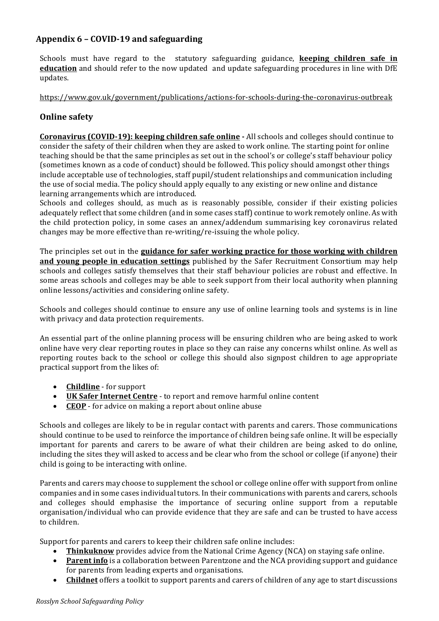## **Appendix 6 – COVID-19 and safeguarding**

Schools must have regard to the statutory safeguarding guidance, **keeping children safe in education** and should refer to the now updated and update safeguarding procedures in line with DfE updates.

#### https://www.gov.uk/government/publications/actions-for-schools-during-the-coronavirus-outbreak

## **Online** safety

**Coronavirus (COVID-19): keeping children safe online**  $\cdot$  All schools and colleges should continue to consider the safety of their children when they are asked to work online. The starting point for online teaching should be that the same principles as set out in the school's or college's staff behaviour policy (sometimes known as a code of conduct) should be followed. This policy should amongst other things include acceptable use of technologies, staff pupil/student relationships and communication including the use of social media. The policy should apply equally to any existing or new online and distance learning arrangements which are introduced.

Schools and colleges should, as much as is reasonably possible, consider if their existing policies adequately reflect that some children (and in some cases staff) continue to work remotely online. As with the child protection policy, in some cases an annex/addendum summarising key coronavirus related changes may be more effective than re-writing/re-issuing the whole policy.

The principles set out in the **guidance for safer working practice for those working with children and young people in education settings** published by the Safer Recruitment Consortium may help schools and colleges satisfy themselves that their staff behaviour policies are robust and effective. In some areas schools and colleges may be able to seek support from their local authority when planning online lessons/activities and considering online safety.

Schools and colleges should continue to ensure any use of online learning tools and systems is in line with privacy and data protection requirements.

An essential part of the online planning process will be ensuring children who are being asked to work online have very clear reporting routes in place so they can raise any concerns whilst online. As well as reporting routes back to the school or college this should also signpost children to age appropriate practical support from the likes of:

- **Childline** for support
- UK Safer Internet Centre to report and remove harmful online content
- **CEOP** for advice on making a report about online abuse

Schools and colleges are likely to be in regular contact with parents and carers. Those communications should continue to be used to reinforce the importance of children being safe online. It will be especially important for parents and carers to be aware of what their children are being asked to do online, including the sites they will asked to access and be clear who from the school or college (if anyone) their child is going to be interacting with online.

Parents and carers may choose to supplement the school or college online offer with support from online companies and in some cases individual tutors. In their communications with parents and carers, schools and colleges should emphasise the importance of securing online support from a reputable organisation/individual who can provide evidence that they are safe and can be trusted to have access to children.

Support for parents and carers to keep their children safe online includes:

- **Thinkuknow** provides advice from the National Crime Agency (NCA) on staying safe online.
- **Parent info** is a collaboration between Parentzone and the NCA providing support and guidance for parents from leading experts and organisations.
- **Childnet** offers a toolkit to support parents and carers of children of any age to start discussions